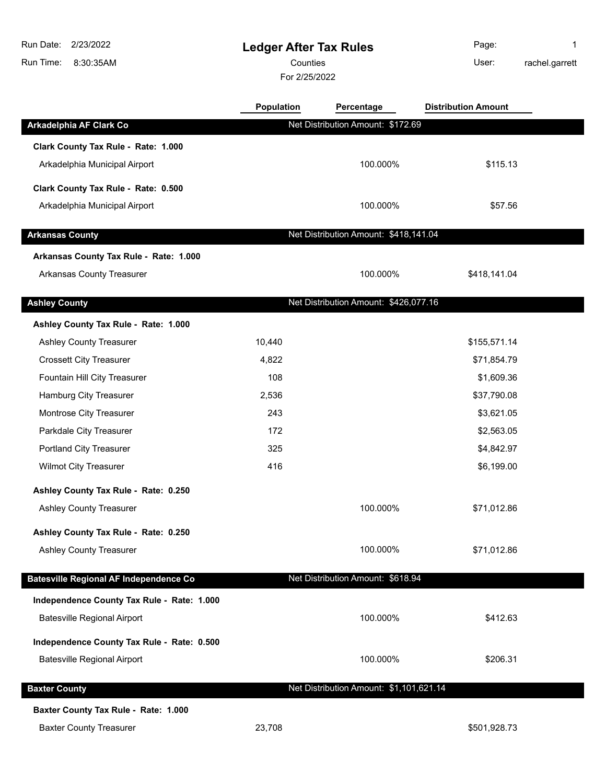| Run Date: I | 2/23/2022 |  |  |
|-------------|-----------|--|--|
| Run Time:   | 8:30:35AM |  |  |

# **Ledger After Tax Rules**

Counties **Counties** User:

For 2/25/2022

Page: 1 rachel.garrett

|                                               | Population | Percentage                              | <b>Distribution Amount</b> |  |
|-----------------------------------------------|------------|-----------------------------------------|----------------------------|--|
| Arkadelphia AF Clark Co                       |            | Net Distribution Amount: \$172.69       |                            |  |
| Clark County Tax Rule - Rate: 1.000           |            |                                         |                            |  |
| Arkadelphia Municipal Airport                 |            | 100.000%                                | \$115.13                   |  |
| Clark County Tax Rule - Rate: 0.500           |            |                                         |                            |  |
| Arkadelphia Municipal Airport                 |            | 100.000%                                | \$57.56                    |  |
|                                               |            |                                         |                            |  |
| <b>Arkansas County</b>                        |            | Net Distribution Amount: \$418,141.04   |                            |  |
| Arkansas County Tax Rule - Rate: 1.000        |            |                                         |                            |  |
| <b>Arkansas County Treasurer</b>              |            | 100.000%                                | \$418,141.04               |  |
| <b>Ashley County</b>                          |            | Net Distribution Amount: \$426,077.16   |                            |  |
| Ashley County Tax Rule - Rate: 1.000          |            |                                         |                            |  |
| Ashley County Treasurer                       | 10,440     |                                         | \$155,571.14               |  |
| <b>Crossett City Treasurer</b>                | 4,822      |                                         | \$71,854.79                |  |
| Fountain Hill City Treasurer                  | 108        |                                         | \$1,609.36                 |  |
| Hamburg City Treasurer                        | 2,536      |                                         | \$37,790.08                |  |
| Montrose City Treasurer                       | 243        |                                         | \$3,621.05                 |  |
| Parkdale City Treasurer                       | 172        |                                         | \$2,563.05                 |  |
| Portland City Treasurer                       | 325        |                                         | \$4,842.97                 |  |
| <b>Wilmot City Treasurer</b>                  | 416        |                                         | \$6,199.00                 |  |
| Ashley County Tax Rule - Rate: 0.250          |            |                                         |                            |  |
| <b>Ashley County Treasurer</b>                |            | 100.000%                                | \$71,012.86                |  |
| Ashley County Tax Rule - Rate: 0.250          |            |                                         |                            |  |
| <b>Ashley County Treasurer</b>                |            | 100.000%                                | \$71,012.86                |  |
| <b>Batesville Regional AF Independence Co</b> |            | Net Distribution Amount: \$618.94       |                            |  |
| Independence County Tax Rule - Rate: 1.000    |            |                                         |                            |  |
| <b>Batesville Regional Airport</b>            |            | 100.000%                                | \$412.63                   |  |
|                                               |            |                                         |                            |  |
| Independence County Tax Rule - Rate: 0.500    |            |                                         |                            |  |
| <b>Batesville Regional Airport</b>            |            | 100.000%                                | \$206.31                   |  |
| <b>Baxter County</b>                          |            | Net Distribution Amount: \$1,101,621.14 |                            |  |
| Baxter County Tax Rule - Rate: 1.000          |            |                                         |                            |  |
| <b>Baxter County Treasurer</b>                | 23,708     |                                         | \$501,928.73               |  |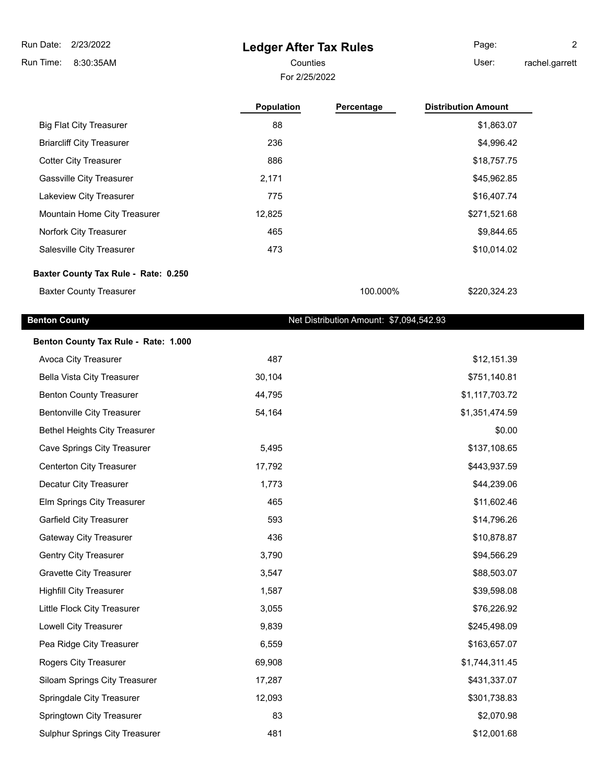### **Ledger After Tax Rules**

For 2/25/2022 Counties **User:** 

Page: 2 rachel.garrett

|                                      | <b>Population</b> | Percentage | <b>Distribution Amount</b> |
|--------------------------------------|-------------------|------------|----------------------------|
| <b>Big Flat City Treasurer</b>       | 88                |            | \$1,863.07                 |
| <b>Briarcliff City Treasurer</b>     | 236               |            | \$4,996.42                 |
| <b>Cotter City Treasurer</b>         | 886               |            | \$18,757.75                |
| <b>Gassville City Treasurer</b>      | 2,171             |            | \$45,962.85                |
| Lakeview City Treasurer              | 775               |            | \$16,407.74                |
| Mountain Home City Treasurer         | 12,825            |            | \$271,521.68               |
| Norfork City Treasurer               | 465               |            | \$9,844.65                 |
| Salesville City Treasurer            | 473               |            | \$10,014.02                |
| Baxter County Tax Rule - Rate: 0.250 |                   |            |                            |
| <b>Baxter County Treasurer</b>       |                   | 100.000%   | \$220,324,23               |

#### **Benton County Benton County Benton County Net Distribution Amount: \$7,094,542.93**

| Benton County Tax Rule - Rate: 1.000 |        |                |
|--------------------------------------|--------|----------------|
| Avoca City Treasurer                 | 487    | \$12,151.39    |
| Bella Vista City Treasurer           | 30,104 | \$751,140.81   |
| <b>Benton County Treasurer</b>       | 44,795 | \$1,117,703.72 |
| <b>Bentonville City Treasurer</b>    | 54,164 | \$1,351,474.59 |
| <b>Bethel Heights City Treasurer</b> |        | \$0.00         |
| Cave Springs City Treasurer          | 5,495  | \$137,108.65   |
| <b>Centerton City Treasurer</b>      | 17,792 | \$443,937.59   |
| Decatur City Treasurer               | 1,773  | \$44,239.06    |
| Elm Springs City Treasurer           | 465    | \$11,602.46    |
| <b>Garfield City Treasurer</b>       | 593    | \$14,796.26    |
| <b>Gateway City Treasurer</b>        | 436    | \$10,878.87    |
| Gentry City Treasurer                | 3,790  | \$94,566.29    |
| <b>Gravette City Treasurer</b>       | 3,547  | \$88,503.07    |
| <b>Highfill City Treasurer</b>       | 1,587  | \$39,598.08    |
| Little Flock City Treasurer          | 3,055  | \$76,226.92    |
| Lowell City Treasurer                | 9,839  | \$245,498.09   |
| Pea Ridge City Treasurer             | 6,559  | \$163,657.07   |
| Rogers City Treasurer                | 69,908 | \$1,744,311.45 |
| Siloam Springs City Treasurer        | 17,287 | \$431,337.07   |
| Springdale City Treasurer            | 12,093 | \$301,738.83   |
| Springtown City Treasurer            | 83     | \$2,070.98     |
| Sulphur Springs City Treasurer       | 481    | \$12,001.68    |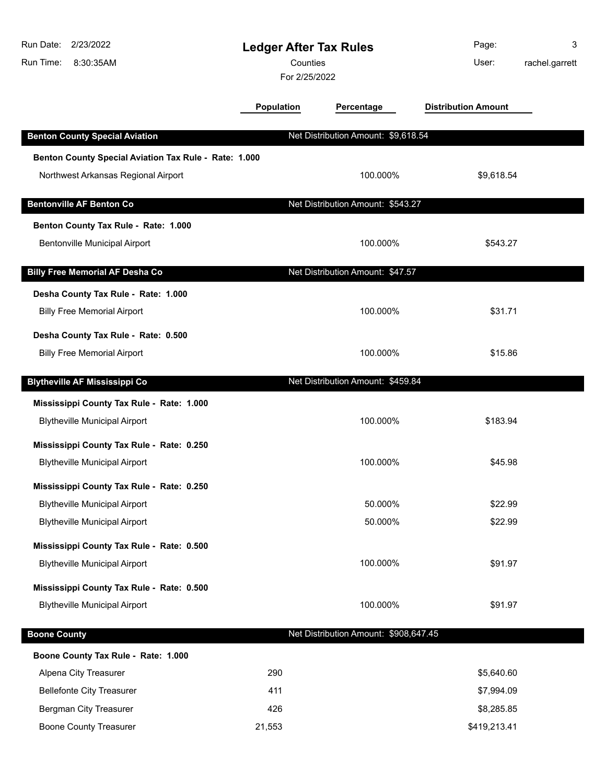| Run Date:           | 2/23/2022                                             | <b>Ledger After Tax Rules</b> |                                       | Page:        | 3              |
|---------------------|-------------------------------------------------------|-------------------------------|---------------------------------------|--------------|----------------|
| Run Time:           | 8:30:35AM                                             | Counties                      |                                       | User:        | rachel.garrett |
|                     |                                                       | For 2/25/2022                 |                                       |              |                |
|                     | <b>Population</b>                                     | Percentage                    | <b>Distribution Amount</b>            |              |                |
|                     | <b>Benton County Special Aviation</b>                 |                               | Net Distribution Amount: \$9,618.54   |              |                |
|                     | Benton County Special Aviation Tax Rule - Rate: 1.000 |                               |                                       |              |                |
|                     | Northwest Arkansas Regional Airport                   |                               | 100.000%                              | \$9,618.54   |                |
|                     |                                                       |                               |                                       |              |                |
|                     | <b>Bentonville AF Benton Co</b>                       |                               | Net Distribution Amount: \$543.27     |              |                |
|                     | Benton County Tax Rule - Rate: 1.000                  |                               |                                       |              |                |
|                     | Bentonville Municipal Airport                         |                               | 100.000%                              | \$543.27     |                |
|                     | <b>Billy Free Memorial AF Desha Co</b>                |                               | Net Distribution Amount: \$47.57      |              |                |
|                     | Desha County Tax Rule - Rate: 1.000                   |                               |                                       |              |                |
|                     | <b>Billy Free Memorial Airport</b>                    |                               | 100.000%                              | \$31.71      |                |
|                     |                                                       |                               |                                       |              |                |
|                     | Desha County Tax Rule - Rate: 0.500                   |                               |                                       |              |                |
|                     | <b>Billy Free Memorial Airport</b>                    |                               | 100.000%                              | \$15.86      |                |
|                     | <b>Blytheville AF Mississippi Co</b>                  |                               | Net Distribution Amount: \$459.84     |              |                |
|                     | Mississippi County Tax Rule - Rate: 1.000             |                               |                                       |              |                |
|                     | <b>Blytheville Municipal Airport</b>                  |                               | 100.000%                              | \$183.94     |                |
|                     | Mississippi County Tax Rule - Rate: 0.250             |                               |                                       |              |                |
|                     | <b>Blytheville Municipal Airport</b>                  |                               | 100.000%                              | \$45.98      |                |
|                     |                                                       |                               |                                       |              |                |
|                     | Mississippi County Tax Rule - Rate: 0.250             |                               |                                       |              |                |
|                     | <b>Blytheville Municipal Airport</b>                  |                               | 50.000%                               | \$22.99      |                |
|                     | <b>Blytheville Municipal Airport</b>                  |                               | 50.000%                               | \$22.99      |                |
|                     | Mississippi County Tax Rule - Rate: 0.500             |                               |                                       |              |                |
|                     | <b>Blytheville Municipal Airport</b>                  |                               | 100.000%                              | \$91.97      |                |
|                     | Mississippi County Tax Rule - Rate: 0.500             |                               |                                       |              |                |
|                     | <b>Blytheville Municipal Airport</b>                  |                               | 100.000%                              | \$91.97      |                |
| <b>Boone County</b> |                                                       |                               | Net Distribution Amount: \$908,647.45 |              |                |
|                     | Boone County Tax Rule - Rate: 1.000                   |                               |                                       |              |                |
|                     | Alpena City Treasurer                                 | 290                           |                                       | \$5,640.60   |                |
|                     | <b>Bellefonte City Treasurer</b>                      | 411                           |                                       | \$7,994.09   |                |
|                     | Bergman City Treasurer                                | 426                           |                                       | \$8,285.85   |                |
|                     | <b>Boone County Treasurer</b>                         | 21,553                        |                                       | \$419,213.41 |                |
|                     |                                                       |                               |                                       |              |                |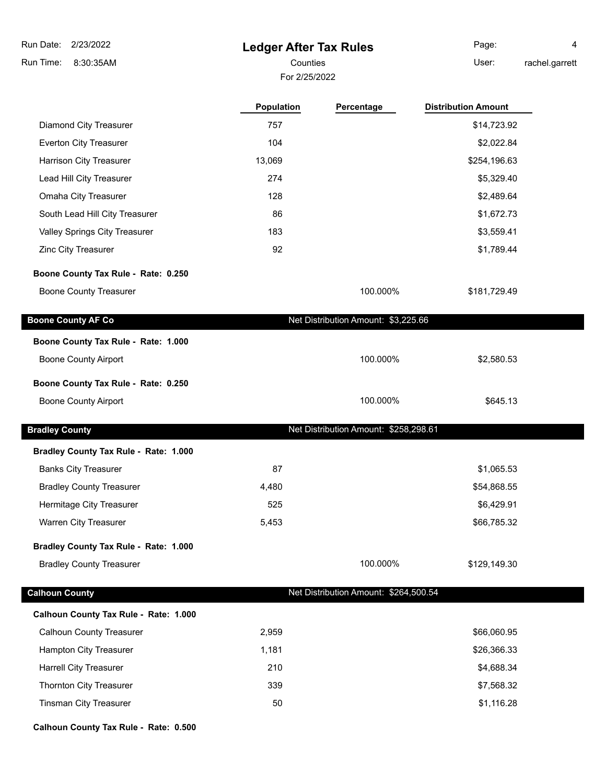### **Ledger After Tax Rules**

Counties **Counties** User: Page: 4

rachel.garrett

|                                       | For 2/25/2022 |                                       |                            |
|---------------------------------------|---------------|---------------------------------------|----------------------------|
|                                       | Population    | Percentage                            | <b>Distribution Amount</b> |
| Diamond City Treasurer                | 757           |                                       | \$14,723.92                |
| Everton City Treasurer                | 104           |                                       | \$2,022.84                 |
| Harrison City Treasurer               | 13,069        |                                       | \$254,196.63               |
| Lead Hill City Treasurer              | 274           |                                       | \$5,329.40                 |
| Omaha City Treasurer                  | 128           |                                       | \$2,489.64                 |
| South Lead Hill City Treasurer        | 86            |                                       | \$1,672.73                 |
| Valley Springs City Treasurer         | 183           |                                       | \$3,559.41                 |
| Zinc City Treasurer                   | 92            |                                       | \$1,789.44                 |
| Boone County Tax Rule - Rate: 0.250   |               |                                       |                            |
| <b>Boone County Treasurer</b>         |               | 100.000%                              | \$181,729.49               |
| <b>Boone County AF Co</b>             |               | Net Distribution Amount: \$3,225.66   |                            |
| Boone County Tax Rule - Rate: 1.000   |               |                                       |                            |
| <b>Boone County Airport</b>           |               | 100.000%                              | \$2,580.53                 |
| Boone County Tax Rule - Rate: 0.250   |               |                                       |                            |
| <b>Boone County Airport</b>           |               | 100.000%                              | \$645.13                   |
| <b>Bradley County</b>                 |               | Net Distribution Amount: \$258,298.61 |                            |
| Bradley County Tax Rule - Rate: 1.000 |               |                                       |                            |
| <b>Banks City Treasurer</b>           | 87            |                                       | \$1,065.53                 |
| <b>Bradley County Treasurer</b>       | 4,480         |                                       | \$54,868.55                |
| Hermitage City Treasurer              | 525           |                                       | \$6,429.91                 |
| Warren City Treasurer                 | 5,453         |                                       | \$66,785.32                |
| Bradley County Tax Rule - Rate: 1.000 |               |                                       |                            |
| <b>Bradley County Treasurer</b>       |               | 100.000%                              | \$129,149.30               |
| <b>Calhoun County</b>                 |               | Net Distribution Amount: \$264,500.54 |                            |
| Calhoun County Tax Rule - Rate: 1.000 |               |                                       |                            |
| <b>Calhoun County Treasurer</b>       | 2,959         |                                       | \$66,060.95                |
| Hampton City Treasurer                | 1,181         |                                       | \$26,366.33                |
| <b>Harrell City Treasurer</b>         | 210           |                                       | \$4,688.34                 |
|                                       |               |                                       |                            |

Thornton City Treasurer 339 \$7,568.32 Tinsman City Treasurer **50** \$1,116.28

**Calhoun County Tax Rule - Rate: 0.500**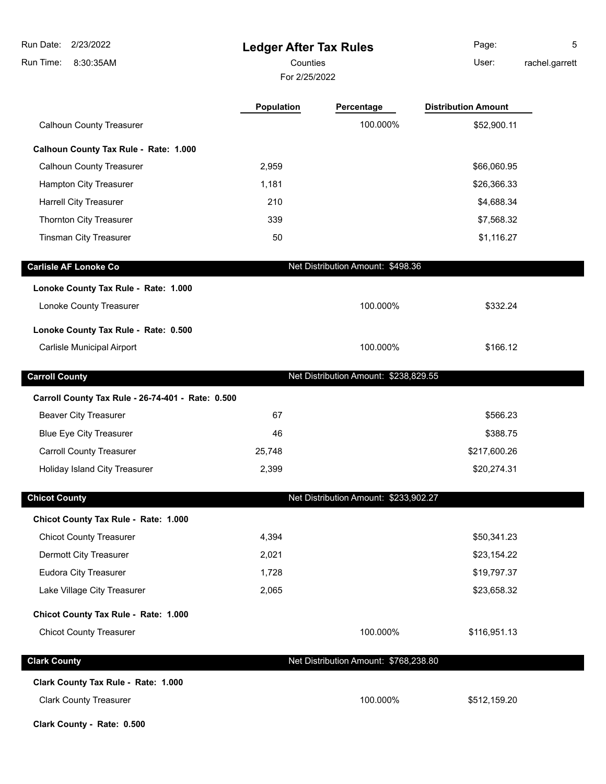| Run Date:<br>2/23/2022                            | <b>Ledger After Tax Rules</b> |                                       | Page:                      | 5              |
|---------------------------------------------------|-------------------------------|---------------------------------------|----------------------------|----------------|
| Run Time:<br>8:30:35AM                            | Counties                      |                                       | User:                      | rachel.garrett |
|                                                   | For 2/25/2022                 |                                       |                            |                |
|                                                   | <b>Population</b>             | Percentage                            | <b>Distribution Amount</b> |                |
| <b>Calhoun County Treasurer</b>                   |                               | 100.000%                              | \$52,900.11                |                |
| Calhoun County Tax Rule - Rate: 1.000             |                               |                                       |                            |                |
| <b>Calhoun County Treasurer</b>                   | 2,959                         |                                       | \$66,060.95                |                |
| Hampton City Treasurer                            | 1,181                         |                                       | \$26,366.33                |                |
| <b>Harrell City Treasurer</b>                     | 210                           |                                       | \$4,688.34                 |                |
| Thornton City Treasurer                           | 339                           |                                       | \$7,568.32                 |                |
| <b>Tinsman City Treasurer</b>                     | 50                            |                                       | \$1,116.27                 |                |
| <b>Carlisle AF Lonoke Co</b>                      |                               | Net Distribution Amount: \$498.36     |                            |                |
| Lonoke County Tax Rule - Rate: 1.000              |                               |                                       |                            |                |
| Lonoke County Treasurer                           |                               | 100.000%                              | \$332.24                   |                |
| Lonoke County Tax Rule - Rate: 0.500              |                               |                                       |                            |                |
| Carlisle Municipal Airport                        |                               | 100.000%                              | \$166.12                   |                |
| <b>Carroll County</b>                             |                               | Net Distribution Amount: \$238,829.55 |                            |                |
| Carroll County Tax Rule - 26-74-401 - Rate: 0.500 |                               |                                       |                            |                |
| <b>Beaver City Treasurer</b>                      | 67                            |                                       | \$566.23                   |                |
| <b>Blue Eye City Treasurer</b>                    | 46                            |                                       | \$388.75                   |                |
| <b>Carroll County Treasurer</b>                   | 25,748                        |                                       | \$217,600.26               |                |
| Holiday Island City Treasurer                     | 2,399                         |                                       | \$20,274.31                |                |
| <b>Chicot County</b>                              |                               | Net Distribution Amount: \$233,902.27 |                            |                |
| Chicot County Tax Rule - Rate: 1.000              |                               |                                       |                            |                |
| <b>Chicot County Treasurer</b>                    | 4,394                         |                                       | \$50,341.23                |                |
| Dermott City Treasurer                            | 2,021                         |                                       | \$23,154.22                |                |
| Eudora City Treasurer                             | 1,728                         |                                       | \$19,797.37                |                |
| Lake Village City Treasurer                       | 2,065                         |                                       | \$23,658.32                |                |
| Chicot County Tax Rule - Rate: 1.000              |                               |                                       |                            |                |
| <b>Chicot County Treasurer</b>                    |                               | 100.000%                              | \$116,951.13               |                |
| <b>Clark County</b>                               |                               | Net Distribution Amount: \$768,238.80 |                            |                |
| Clark County Tax Rule - Rate: 1.000               |                               |                                       |                            |                |
| <b>Clark County Treasurer</b>                     |                               | 100.000%                              | \$512,159.20               |                |

**Clark County - Rate: 0.500**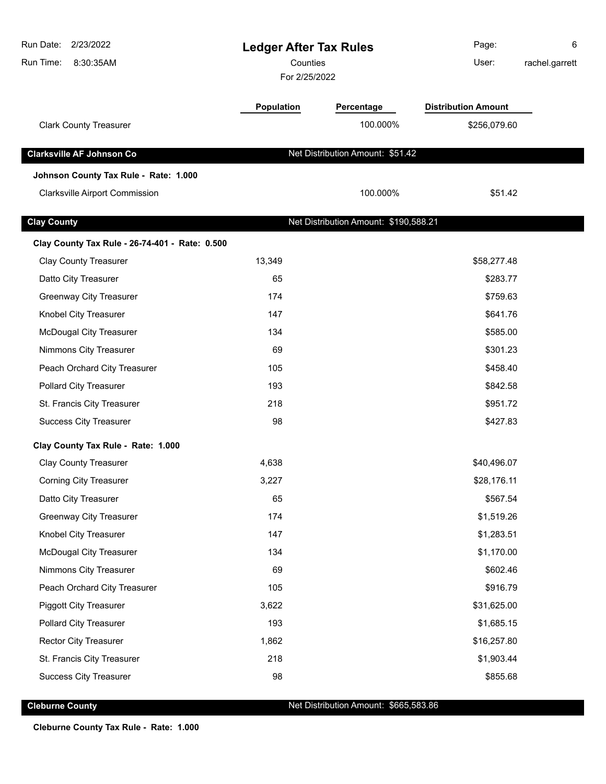| Run Date:<br>2/23/2022<br>Run Time:<br>8:30:35AM | <b>Ledger After Tax Rules</b><br>Counties<br>For 2/25/2022 |                                       | Page:<br>User:             | 6<br>rachel.garrett |
|--------------------------------------------------|------------------------------------------------------------|---------------------------------------|----------------------------|---------------------|
|                                                  | Population                                                 | Percentage                            | <b>Distribution Amount</b> |                     |
| <b>Clark County Treasurer</b>                    |                                                            | 100.000%                              | \$256,079.60               |                     |
| <b>Clarksville AF Johnson Co</b>                 |                                                            | Net Distribution Amount: \$51.42      |                            |                     |
| Johnson County Tax Rule - Rate: 1.000            |                                                            |                                       |                            |                     |
| <b>Clarksville Airport Commission</b>            |                                                            | 100.000%                              | \$51.42                    |                     |
| <b>Clay County</b>                               |                                                            | Net Distribution Amount: \$190,588.21 |                            |                     |
| Clay County Tax Rule - 26-74-401 - Rate: 0.500   |                                                            |                                       |                            |                     |
| <b>Clay County Treasurer</b>                     | 13,349                                                     |                                       | \$58,277.48                |                     |
| Datto City Treasurer                             | 65                                                         |                                       | \$283.77                   |                     |
| <b>Greenway City Treasurer</b>                   | 174                                                        |                                       | \$759.63                   |                     |
| Knobel City Treasurer                            | 147                                                        |                                       | \$641.76                   |                     |
| <b>McDougal City Treasurer</b>                   | 134                                                        |                                       | \$585.00                   |                     |
| Nimmons City Treasurer                           | 69                                                         |                                       | \$301.23                   |                     |
| Peach Orchard City Treasurer                     | 105                                                        |                                       | \$458.40                   |                     |
| <b>Pollard City Treasurer</b>                    | 193                                                        |                                       | \$842.58                   |                     |
| St. Francis City Treasurer                       | 218                                                        |                                       | \$951.72                   |                     |
| <b>Success City Treasurer</b>                    | 98                                                         |                                       | \$427.83                   |                     |
| Clay County Tax Rule - Rate: 1.000               |                                                            |                                       |                            |                     |
| <b>Clay County Treasurer</b>                     | 4,638                                                      |                                       | \$40,496.07                |                     |
| <b>Corning City Treasurer</b>                    | 3,227                                                      |                                       | \$28,176.11                |                     |
| Datto City Treasurer                             | 65                                                         |                                       | \$567.54                   |                     |
| <b>Greenway City Treasurer</b>                   | 174                                                        |                                       | \$1,519.26                 |                     |
| Knobel City Treasurer                            | 147                                                        |                                       | \$1,283.51                 |                     |
| <b>McDougal City Treasurer</b>                   | 134                                                        |                                       | \$1,170.00                 |                     |
| Nimmons City Treasurer                           | 69                                                         |                                       | \$602.46                   |                     |
| Peach Orchard City Treasurer                     | 105                                                        |                                       | \$916.79                   |                     |
| <b>Piggott City Treasurer</b>                    | 3,622                                                      |                                       | \$31,625.00                |                     |
| <b>Pollard City Treasurer</b>                    | 193                                                        |                                       | \$1,685.15                 |                     |
| Rector City Treasurer                            | 1,862                                                      |                                       | \$16,257.80                |                     |
| St. Francis City Treasurer                       | 218                                                        |                                       | \$1,903.44                 |                     |
| <b>Success City Treasurer</b>                    | 98                                                         |                                       | \$855.68                   |                     |
|                                                  |                                                            |                                       |                            |                     |

**Cleburne County Cleburne County Net Distribution Amount: \$665,583.86** 

**Cleburne County Tax Rule - Rate: 1.000**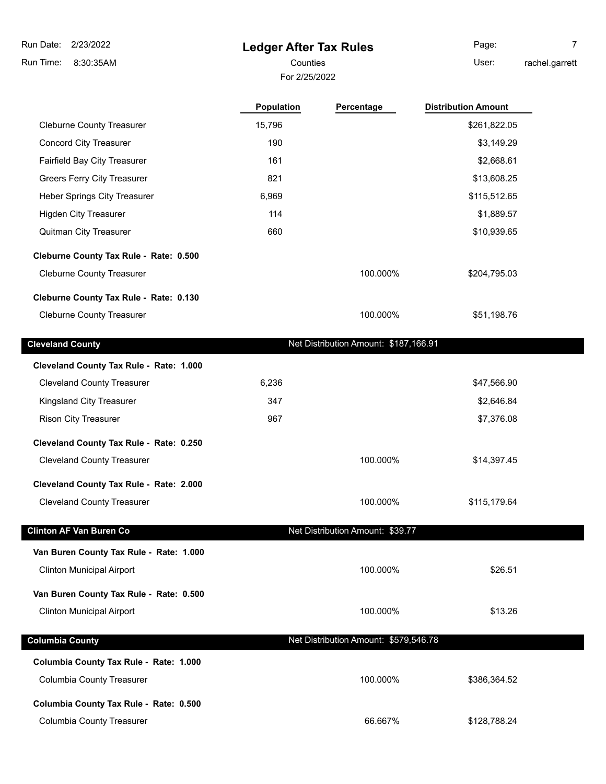## **Ledger After Tax Rules**

For 2/25/2022

Counties **User:** Page: 7

rachel.garrett

|                                         | <b>Population</b> | Percentage                            | <b>Distribution Amount</b> |
|-----------------------------------------|-------------------|---------------------------------------|----------------------------|
| <b>Cleburne County Treasurer</b>        | 15,796            |                                       | \$261,822.05               |
| <b>Concord City Treasurer</b>           | 190               |                                       | \$3,149.29                 |
| Fairfield Bay City Treasurer            | 161               |                                       | \$2,668.61                 |
| <b>Greers Ferry City Treasurer</b>      | 821               |                                       | \$13,608.25                |
| Heber Springs City Treasurer            | 6,969             |                                       | \$115,512.65               |
| <b>Higden City Treasurer</b>            | 114               |                                       | \$1,889.57                 |
| Quitman City Treasurer                  | 660               |                                       | \$10,939.65                |
| Cleburne County Tax Rule - Rate: 0.500  |                   |                                       |                            |
| <b>Cleburne County Treasurer</b>        |                   | 100.000%                              | \$204,795.03               |
| Cleburne County Tax Rule - Rate: 0.130  |                   |                                       |                            |
| <b>Cleburne County Treasurer</b>        |                   | 100.000%                              | \$51,198.76                |
| <b>Cleveland County</b>                 |                   | Net Distribution Amount: \$187,166.91 |                            |
| Cleveland County Tax Rule - Rate: 1.000 |                   |                                       |                            |
| <b>Cleveland County Treasurer</b>       | 6,236             |                                       | \$47,566.90                |
| Kingsland City Treasurer                | 347               |                                       | \$2,646.84                 |
| <b>Rison City Treasurer</b>             | 967               |                                       | \$7,376.08                 |
| Cleveland County Tax Rule - Rate: 0.250 |                   |                                       |                            |
| <b>Cleveland County Treasurer</b>       |                   | 100.000%                              | \$14,397.45                |
| Cleveland County Tax Rule - Rate: 2.000 |                   |                                       |                            |
| <b>Cleveland County Treasurer</b>       |                   | 100.000%                              | \$115,179.64               |
| <b>Clinton AF Van Buren Co</b>          |                   | Net Distribution Amount: \$39.77      |                            |
| Van Buren County Tax Rule - Rate: 1.000 |                   |                                       |                            |
| <b>Clinton Municipal Airport</b>        |                   | 100.000%                              | \$26.51                    |
| Van Buren County Tax Rule - Rate: 0.500 |                   |                                       |                            |
| <b>Clinton Municipal Airport</b>        |                   | 100.000%                              | \$13.26                    |
| <b>Columbia County</b>                  |                   | Net Distribution Amount: \$579,546.78 |                            |
| Columbia County Tax Rule - Rate: 1.000  |                   |                                       |                            |
| <b>Columbia County Treasurer</b>        |                   | 100.000%                              | \$386,364.52               |
| Columbia County Tax Rule - Rate: 0.500  |                   |                                       |                            |
| <b>Columbia County Treasurer</b>        |                   | 66.667%                               | \$128,788.24               |
|                                         |                   |                                       |                            |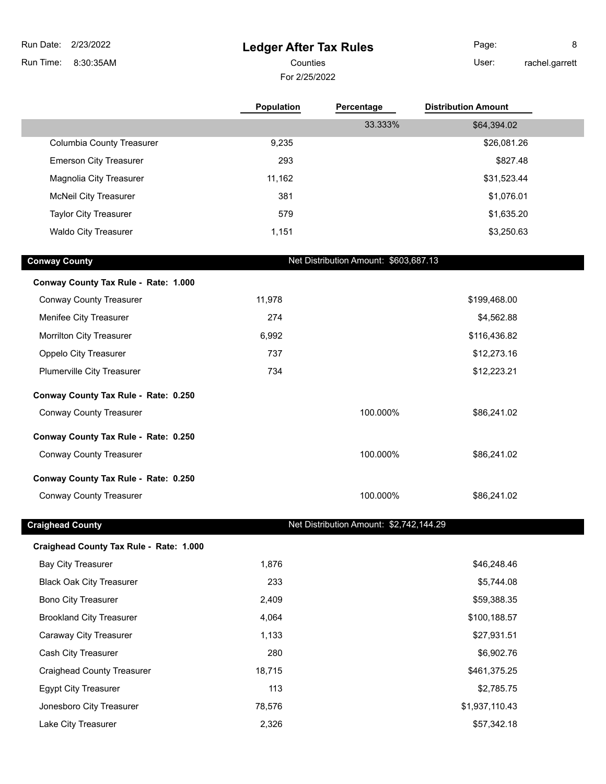**Ledger After Tax Rules** 8:30:35AM Run Time: Run Date: 2/23/2022 For 2/25/2022 Counties **User:** 

Page: 8 rachel.garrett

|                                         | <b>Population</b> | Percentage                              | <b>Distribution Amount</b> |
|-----------------------------------------|-------------------|-----------------------------------------|----------------------------|
|                                         |                   | 33.333%                                 | \$64,394.02                |
| <b>Columbia County Treasurer</b>        | 9,235             |                                         | \$26,081.26                |
| <b>Emerson City Treasurer</b>           | 293               |                                         | \$827.48                   |
| Magnolia City Treasurer                 | 11,162            |                                         | \$31,523.44                |
| <b>McNeil City Treasurer</b>            | 381               |                                         | \$1,076.01                 |
| <b>Taylor City Treasurer</b>            | 579               |                                         | \$1,635.20                 |
| <b>Waldo City Treasurer</b>             | 1,151             |                                         | \$3,250.63                 |
| <b>Conway County</b>                    |                   | Net Distribution Amount: \$603,687.13   |                            |
| Conway County Tax Rule - Rate: 1.000    |                   |                                         |                            |
| <b>Conway County Treasurer</b>          | 11,978            |                                         | \$199,468.00               |
| Menifee City Treasurer                  | 274               |                                         | \$4,562.88                 |
| Morrilton City Treasurer                | 6,992             |                                         | \$116,436.82               |
| Oppelo City Treasurer                   | 737               |                                         | \$12,273.16                |
| Plumerville City Treasurer              | 734               |                                         | \$12,223.21                |
| Conway County Tax Rule - Rate: 0.250    |                   |                                         |                            |
| <b>Conway County Treasurer</b>          |                   | 100.000%                                | \$86,241.02                |
| Conway County Tax Rule - Rate: 0.250    |                   |                                         |                            |
| <b>Conway County Treasurer</b>          |                   | 100.000%                                | \$86,241.02                |
| Conway County Tax Rule - Rate: 0.250    |                   |                                         |                            |
| <b>Conway County Treasurer</b>          |                   | 100.000%                                | \$86,241.02                |
| <b>Craighead County</b>                 |                   | Net Distribution Amount: \$2,742,144.29 |                            |
| Craighead County Tax Rule - Rate: 1.000 |                   |                                         |                            |
| <b>Bay City Treasurer</b>               | 1,876             |                                         | \$46,248.46                |
| <b>Black Oak City Treasurer</b>         | 233               |                                         | \$5,744.08                 |
| <b>Bono City Treasurer</b>              | 2,409             |                                         | \$59,388.35                |
| <b>Brookland City Treasurer</b>         | 4,064             |                                         | \$100,188.57               |
| Caraway City Treasurer                  | 1,133             |                                         | \$27,931.51                |
| Cash City Treasurer                     | 280               |                                         | \$6,902.76                 |
| <b>Craighead County Treasurer</b>       | 18,715            |                                         | \$461,375.25               |
| <b>Egypt City Treasurer</b>             | 113               |                                         | \$2,785.75                 |
| Jonesboro City Treasurer                | 78,576            |                                         | \$1,937,110.43             |

Lake City Treasurer 1988 1991 12.326 12.326 12.326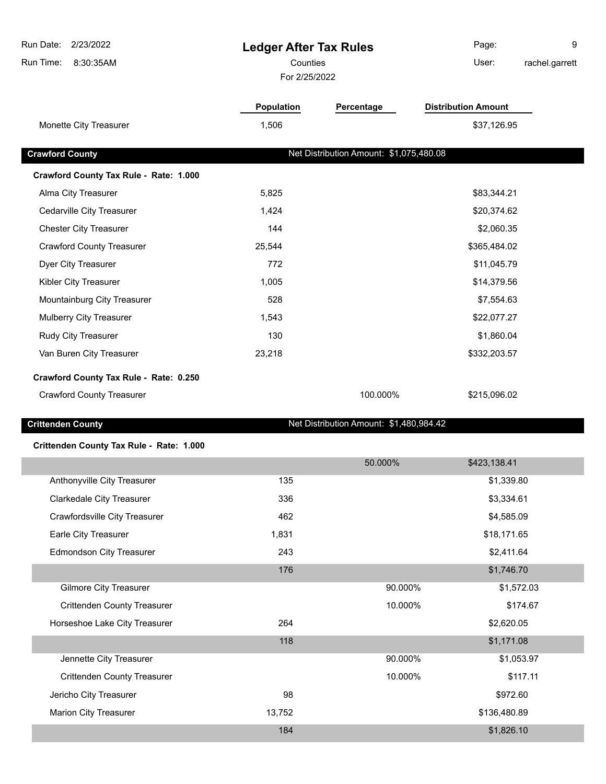| Run Date:<br>2/23/2022<br>Run Time:<br>8:30:35AM | <b>Ledger After Tax Rules</b><br>Counties |                                         | Page:<br>9<br>User:<br>rachel.garrett |
|--------------------------------------------------|-------------------------------------------|-----------------------------------------|---------------------------------------|
|                                                  | For 2/25/2022                             |                                         |                                       |
|                                                  | <b>Population</b>                         | Percentage                              | <b>Distribution Amount</b>            |
| Monette City Treasurer                           | 1,506                                     |                                         | \$37,126.95                           |
| <b>Crawford County</b>                           |                                           | Net Distribution Amount: \$1,075,480.08 |                                       |
| Crawford County Tax Rule - Rate: 1.000           |                                           |                                         |                                       |
| Alma City Treasurer                              | 5,825                                     |                                         | \$83,344.21                           |
| Cedarville City Treasurer                        | 1,424                                     |                                         | \$20,374.62                           |
| <b>Chester City Treasurer</b>                    | 144                                       |                                         | \$2,060.35                            |
| <b>Crawford County Treasurer</b>                 | 25,544                                    |                                         | \$365,484.02                          |
| Dyer City Treasurer                              | 772                                       |                                         | \$11,045.79                           |
| Kibler City Treasurer                            | 1,005                                     |                                         | \$14,379.56                           |
| Mountainburg City Treasurer                      | 528                                       |                                         | \$7,554.63                            |
| Mulberry City Treasurer                          | 1,543                                     |                                         | \$22,077.27                           |
| Rudy City Treasurer                              | 130                                       |                                         | \$1,860.04                            |
| Van Buren City Treasurer                         | 23,218                                    |                                         | \$332,203.57                          |
| Crawford County Tax Rule - Rate: 0.250           |                                           |                                         |                                       |
| <b>Crawford County Treasurer</b>                 |                                           | 100.000%                                | \$215,096.02                          |
| <b>Crittenden County</b>                         |                                           | Net Distribution Amount: \$1,480,984.42 |                                       |
| Crittenden County Tax Rule - Rate: 1.000         |                                           |                                         |                                       |
|                                                  |                                           | 50.000%                                 | \$423,138.41                          |
| Anthonyville City Treasurer                      | 135                                       |                                         | \$1,339.80                            |
| <b>Clarkedale City Treasurer</b>                 | 336                                       |                                         | \$3,334.61                            |
| Crawfordsville City Treasurer                    | 462                                       |                                         | \$4,585.09                            |
| Earle City Treasurer                             | 1,831                                     |                                         | \$18,171.65                           |
| <b>Edmondson City Treasurer</b>                  | 243                                       |                                         | \$2,411.64                            |
|                                                  | 176                                       |                                         | \$1,746.70                            |
| <b>Gilmore City Treasurer</b>                    |                                           | 90.000%                                 | \$1,572.03                            |
| <b>Crittenden County Treasurer</b>               |                                           | 10.000%                                 | \$174.67                              |
| Horseshoe Lake City Treasurer                    | 264                                       |                                         | \$2,620.05                            |
|                                                  | 118                                       |                                         | \$1,171.08                            |
| Jennette City Treasurer                          |                                           | 90.000%                                 | \$1,053.97                            |
| <b>Crittenden County Treasurer</b>               |                                           | 10.000%                                 | \$117.11                              |
| Jericho City Treasurer                           | 98                                        |                                         | \$972.60                              |
| Marion City Treasurer                            | 13,752                                    |                                         | \$136,480.89                          |
|                                                  | 184                                       |                                         | \$1,826.10                            |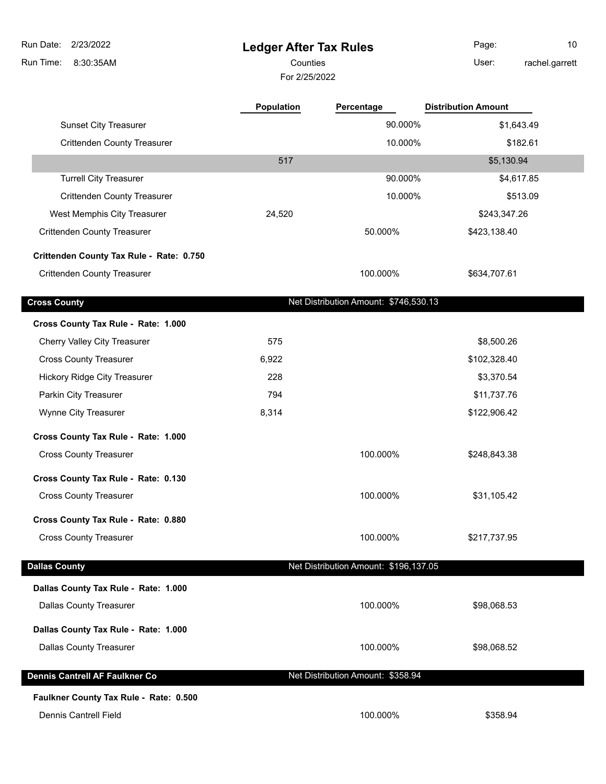| Run Date:<br>2/23/2022                   | <b>Ledger After Tax Rules</b> |                                       | Page:                      | 10             |
|------------------------------------------|-------------------------------|---------------------------------------|----------------------------|----------------|
| Run Time:<br>8:30:35AM                   | Counties                      |                                       | User:                      | rachel.garrett |
|                                          | For 2/25/2022                 |                                       |                            |                |
|                                          | <b>Population</b>             | Percentage                            | <b>Distribution Amount</b> |                |
| <b>Sunset City Treasurer</b>             |                               | 90.000%                               | \$1,643.49                 |                |
| <b>Crittenden County Treasurer</b>       |                               | 10.000%                               | \$182.61                   |                |
|                                          | 517                           |                                       | \$5,130.94                 |                |
| <b>Turrell City Treasurer</b>            |                               | 90.000%                               | \$4,617.85                 |                |
| <b>Crittenden County Treasurer</b>       |                               | 10.000%                               |                            | \$513.09       |
| West Memphis City Treasurer              | 24,520                        |                                       | \$243,347.26               |                |
| <b>Crittenden County Treasurer</b>       |                               | 50.000%                               | \$423,138.40               |                |
| Crittenden County Tax Rule - Rate: 0.750 |                               |                                       |                            |                |
| <b>Crittenden County Treasurer</b>       |                               | 100.000%                              | \$634,707.61               |                |
| <b>Cross County</b>                      |                               | Net Distribution Amount: \$746,530.13 |                            |                |
| Cross County Tax Rule - Rate: 1.000      |                               |                                       |                            |                |
| Cherry Valley City Treasurer             | 575                           |                                       | \$8,500.26                 |                |
| <b>Cross County Treasurer</b>            | 6,922                         |                                       | \$102,328.40               |                |
| <b>Hickory Ridge City Treasurer</b>      | 228                           |                                       | \$3,370.54                 |                |
| Parkin City Treasurer                    | 794                           |                                       | \$11,737.76                |                |
| Wynne City Treasurer                     | 8,314                         |                                       | \$122,906.42               |                |
| Cross County Tax Rule - Rate: 1.000      |                               |                                       |                            |                |
| <b>Cross County Treasurer</b>            |                               | 100.000%                              | \$248,843.38               |                |
| Cross County Tax Rule - Rate: 0.130      |                               |                                       |                            |                |
| <b>Cross County Treasurer</b>            |                               | 100.000%                              | \$31,105.42                |                |
| Cross County Tax Rule - Rate: 0.880      |                               |                                       |                            |                |
| <b>Cross County Treasurer</b>            |                               | 100.000%                              | \$217,737.95               |                |
| <b>Dallas County</b>                     |                               | Net Distribution Amount: \$196,137.05 |                            |                |
| Dallas County Tax Rule - Rate: 1.000     |                               |                                       |                            |                |
| <b>Dallas County Treasurer</b>           |                               | 100.000%                              | \$98,068.53                |                |
| Dallas County Tax Rule - Rate: 1.000     |                               |                                       |                            |                |
| <b>Dallas County Treasurer</b>           |                               | 100.000%                              | \$98,068.52                |                |
| Dennis Cantrell AF Faulkner Co           |                               | Net Distribution Amount: \$358.94     |                            |                |
| Faulkner County Tax Rule - Rate: 0.500   |                               |                                       |                            |                |
| <b>Dennis Cantrell Field</b>             |                               | 100.000%                              | \$358.94                   |                |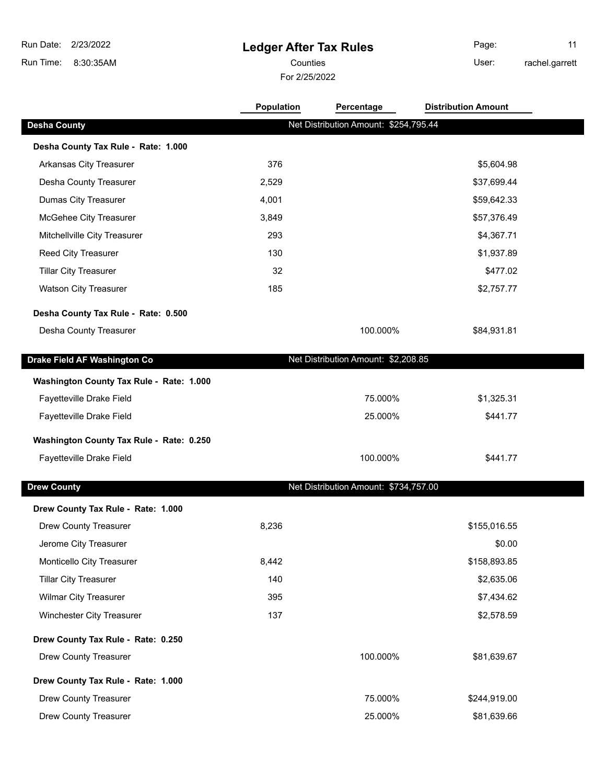**Ledger After Tax Rules** 8:30:35AM Run Time: Run Date: 2/23/2022 Counties User:

For 2/25/2022

Page: 11 rachel.garrett

|                                          | <b>Population</b> | Percentage                            | <b>Distribution Amount</b> |  |
|------------------------------------------|-------------------|---------------------------------------|----------------------------|--|
| <b>Desha County</b>                      |                   | Net Distribution Amount: \$254,795.44 |                            |  |
| Desha County Tax Rule - Rate: 1.000      |                   |                                       |                            |  |
| Arkansas City Treasurer                  | 376               |                                       | \$5,604.98                 |  |
| Desha County Treasurer                   | 2,529             |                                       | \$37,699.44                |  |
| <b>Dumas City Treasurer</b>              | 4,001             |                                       | \$59,642.33                |  |
| McGehee City Treasurer                   | 3,849             |                                       | \$57,376.49                |  |
| Mitchellville City Treasurer             | 293               |                                       | \$4,367.71                 |  |
| Reed City Treasurer                      | 130               |                                       | \$1,937.89                 |  |
| <b>Tillar City Treasurer</b>             | 32                |                                       | \$477.02                   |  |
| <b>Watson City Treasurer</b>             | 185               |                                       | \$2,757.77                 |  |
| Desha County Tax Rule - Rate: 0.500      |                   |                                       |                            |  |
| Desha County Treasurer                   |                   | 100.000%                              | \$84,931.81                |  |
| Drake Field AF Washington Co             |                   | Net Distribution Amount: \$2,208.85   |                            |  |
| Washington County Tax Rule - Rate: 1.000 |                   |                                       |                            |  |
| Fayetteville Drake Field                 |                   | 75.000%                               | \$1,325.31                 |  |
| Fayetteville Drake Field                 |                   | 25.000%                               | \$441.77                   |  |
| Washington County Tax Rule - Rate: 0.250 |                   |                                       |                            |  |
| Fayetteville Drake Field                 |                   | 100.000%                              | \$441.77                   |  |
| <b>Drew County</b>                       |                   | Net Distribution Amount: \$734,757.00 |                            |  |
| Drew County Tax Rule - Rate: 1.000       |                   |                                       |                            |  |
| Drew County Treasurer                    | 8,236             |                                       | \$155,016.55               |  |
| Jerome City Treasurer                    |                   |                                       | \$0.00                     |  |
| Monticello City Treasurer                | 8,442             |                                       | \$158,893.85               |  |
| <b>Tillar City Treasurer</b>             | 140               |                                       | \$2,635.06                 |  |
| <b>Wilmar City Treasurer</b>             | 395               |                                       | \$7,434.62                 |  |
| Winchester City Treasurer                | 137               |                                       | \$2,578.59                 |  |
| Drew County Tax Rule - Rate: 0.250       |                   |                                       |                            |  |
| <b>Drew County Treasurer</b>             |                   | 100.000%                              | \$81,639.67                |  |
| Drew County Tax Rule - Rate: 1.000       |                   |                                       |                            |  |
| Drew County Treasurer                    |                   | 75.000%                               | \$244,919.00               |  |
| <b>Drew County Treasurer</b>             |                   | 25.000%                               | \$81,639.66                |  |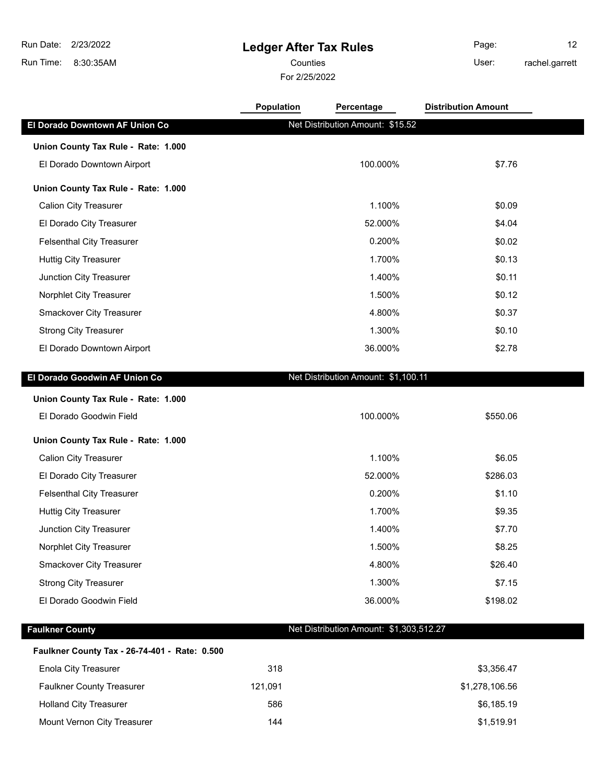**Ledger After Tax Rules**

8:30:35AM Run Time:

#### For 2/25/2022 Counties User:

Page: 12 rachel.garrett

|                                     | Population<br>Percentage            | <b>Distribution Amount</b> |  |
|-------------------------------------|-------------------------------------|----------------------------|--|
| El Dorado Downtown AF Union Co      | Net Distribution Amount: \$15.52    |                            |  |
| Union County Tax Rule - Rate: 1.000 |                                     |                            |  |
| El Dorado Downtown Airport          | 100.000%                            | \$7.76                     |  |
| Union County Tax Rule - Rate: 1.000 |                                     |                            |  |
| <b>Calion City Treasurer</b>        | 1.100%                              | \$0.09                     |  |
| El Dorado City Treasurer            | 52.000%                             | \$4.04                     |  |
| <b>Felsenthal City Treasurer</b>    | 0.200%                              | \$0.02                     |  |
| <b>Huttig City Treasurer</b>        | 1.700%                              | \$0.13                     |  |
| Junction City Treasurer             | 1.400%                              | \$0.11                     |  |
| Norphlet City Treasurer             | 1.500%                              | \$0.12                     |  |
| Smackover City Treasurer            | 4.800%                              | \$0.37                     |  |
| <b>Strong City Treasurer</b>        | 1.300%                              | \$0.10                     |  |
| El Dorado Downtown Airport          | 36.000%                             | \$2.78                     |  |
| El Dorado Goodwin AF Union Co       | Net Distribution Amount: \$1,100.11 |                            |  |
| Union County Tax Rule - Rate: 1.000 |                                     |                            |  |
| El Dorado Goodwin Field             | 100.000%                            | \$550.06                   |  |
| Union County Tax Rule - Rate: 1.000 |                                     |                            |  |
| <b>Calion City Treasurer</b>        | 1.100%                              | \$6.05                     |  |
| El Dorado City Treasurer            | 52.000%                             | \$286.03                   |  |
| <b>Felsenthal City Treasurer</b>    | 0.200%                              | \$1.10                     |  |
| <b>Huttig City Treasurer</b>        | 1.700%                              | \$9.35                     |  |
|                                     |                                     |                            |  |
| Junction City Treasurer             | 1.400%                              | \$7.70                     |  |
| Norphlet City Treasurer             | 1.500%                              | \$8.25                     |  |
| <b>Smackover City Treasurer</b>     | 4.800%                              | \$26.40                    |  |
| <b>Strong City Treasurer</b>        | 1.300%                              | \$7.15                     |  |
| El Dorado Goodwin Field             | 36.000%                             | \$198.02                   |  |

#### **Faulkner County Tax - 26-74-401 - Rate: 0.500**

| Enola City Treasurer             | 318     | \$3,356.47     |
|----------------------------------|---------|----------------|
| <b>Faulkner County Treasurer</b> | 121.091 | \$1,278,106.56 |
| <b>Holland City Treasurer</b>    | 586     | \$6,185.19     |
| Mount Vernon City Treasurer      | 144     | \$1.519.91     |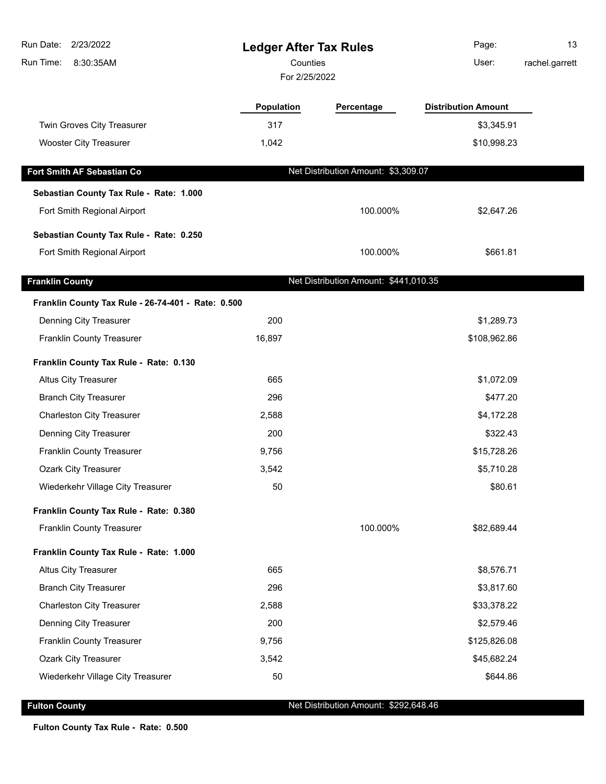| Run Date: 2/23/2022<br>Run Time:<br>8:30:35AM      | <b>Ledger After Tax Rules</b><br>Counties<br>For 2/25/2022 |                                       | Page:<br>User:             | 13<br>rachel.garrett |
|----------------------------------------------------|------------------------------------------------------------|---------------------------------------|----------------------------|----------------------|
|                                                    |                                                            |                                       |                            |                      |
|                                                    | Population                                                 | Percentage                            | <b>Distribution Amount</b> |                      |
| Twin Groves City Treasurer                         | 317                                                        |                                       | \$3,345.91                 |                      |
| <b>Wooster City Treasurer</b>                      | 1,042                                                      |                                       | \$10,998.23                |                      |
| Fort Smith AF Sebastian Co                         |                                                            | Net Distribution Amount: \$3,309.07   |                            |                      |
| Sebastian County Tax Rule - Rate: 1.000            |                                                            |                                       |                            |                      |
| Fort Smith Regional Airport                        |                                                            | 100.000%                              | \$2,647.26                 |                      |
|                                                    |                                                            |                                       |                            |                      |
| Sebastian County Tax Rule - Rate: 0.250            |                                                            |                                       |                            |                      |
| Fort Smith Regional Airport                        |                                                            | 100.000%                              | \$661.81                   |                      |
| <b>Franklin County</b>                             |                                                            | Net Distribution Amount: \$441,010.35 |                            |                      |
| Franklin County Tax Rule - 26-74-401 - Rate: 0.500 |                                                            |                                       |                            |                      |
| Denning City Treasurer                             | 200                                                        |                                       | \$1,289.73                 |                      |
| Franklin County Treasurer                          | 16,897                                                     |                                       | \$108,962.86               |                      |
| Franklin County Tax Rule - Rate: 0.130             |                                                            |                                       |                            |                      |
| <b>Altus City Treasurer</b>                        | 665                                                        |                                       | \$1,072.09                 |                      |
| <b>Branch City Treasurer</b>                       | 296                                                        |                                       | \$477.20                   |                      |
| <b>Charleston City Treasurer</b>                   | 2,588                                                      |                                       | \$4,172.28                 |                      |
| Denning City Treasurer                             | 200                                                        |                                       | \$322.43                   |                      |
| <b>Franklin County Treasurer</b>                   | 9,756                                                      |                                       | \$15,728.26                |                      |
| <b>Ozark City Treasurer</b>                        | 3,542                                                      |                                       | \$5,710.28                 |                      |
| Wiederkehr Village City Treasurer                  | 50                                                         |                                       | \$80.61                    |                      |
| Franklin County Tax Rule - Rate: 0.380             |                                                            |                                       |                            |                      |
| Franklin County Treasurer                          |                                                            | 100.000%                              | \$82,689.44                |                      |
| Franklin County Tax Rule - Rate: 1.000             |                                                            |                                       |                            |                      |
| <b>Altus City Treasurer</b>                        | 665                                                        |                                       | \$8,576.71                 |                      |
| <b>Branch City Treasurer</b>                       | 296                                                        |                                       | \$3,817.60                 |                      |
| <b>Charleston City Treasurer</b>                   | 2,588                                                      |                                       | \$33,378.22                |                      |
| Denning City Treasurer                             | 200                                                        |                                       | \$2,579.46                 |                      |
| Franklin County Treasurer                          | 9,756                                                      |                                       | \$125,826.08               |                      |
| Ozark City Treasurer                               | 3,542                                                      |                                       | \$45,682.24                |                      |
| Wiederkehr Village City Treasurer                  | 50                                                         |                                       | \$644.86                   |                      |

**Fulton County Fulton County Net Distribution Amount: \$292,648.46** 

**Fulton County Tax Rule - Rate: 0.500**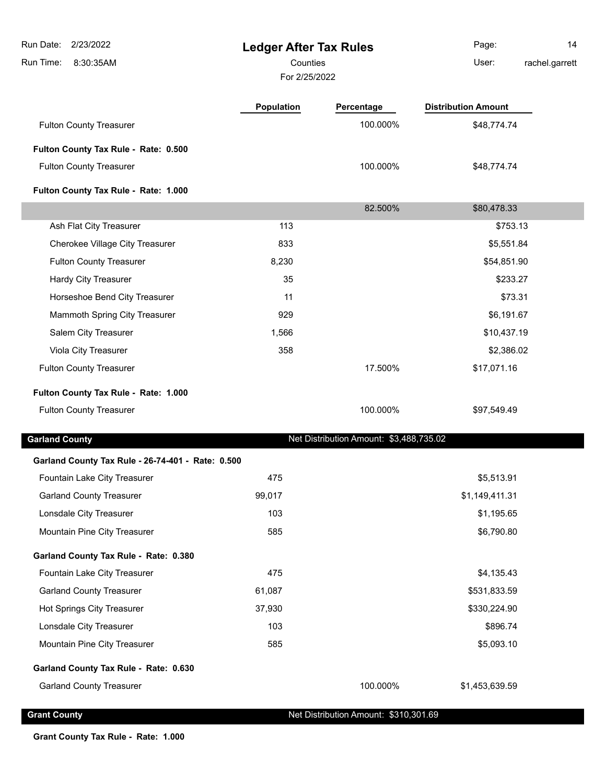**Ledger After Tax Rules** 8:30:35AM Run Time: Run Date: 2/23/2022 For 2/25/2022 Counties **Counties** User: Page: 14 rachel.garrett **Population Percentage Distribution Amount** Fulton County Treasurer **100.000%** \$48,774.74 **Fulton County Tax Rule - Rate: 0.500** Fulton County Treasurer **100.000%** \$48,774.74 **Fulton County Tax Rule - Rate: 1.000** 82.500% \$80,478.33 Ash Flat City Treasurer 113 \$753.13 Cherokee Village City Treasurer 833 \$5,551.84 Fulton County Treasurer 8,230 \$54,851.90 Hardy City Treasurer 35 \$233.27 Horseshoe Bend City Treasurer 11 \$73.31 Mammoth Spring City Treasurer 929 \$6,191.67 Salem City Treasurer 1,566 \$10,437.19 Viola City Treasurer 358 \$2,386.02 Fulton County Treasurer 17.500% \$17,071.16 **Fulton County Tax Rule - Rate: 1.000** Fulton County Treasurer **100.000%** \$97,549.49 **Garland County Net Distribution Amount: \$3,488,735.02 Garland County Tax Rule - 26-74-401 - Rate: 0.500** Fountain Lake City Treasurer 1990 1990 1991 1991 1991 1992 1994 1995 1996 1997 1998 1999 1999 1998 1999 1999 1 Garland County Treasurer 199,017 199,017 199,017 199,017 199,017 199,017 199,017 199,017 199,017 199,017 199,017 Lonsdale City Treasurer 103 by the control of the control of the control of the control of the control of the control of the control of the control of the control of the control of the control of the control of the control Mountain Pine City Treasurer 585 \$6,790.80 **Garland County Tax Rule - Rate: 0.380** Fountain Lake City Treasurer 475 \$4,135.43 Garland County Treasurer 61,087 \$531,833.59 Hot Springs City Treasurer 37,930 \$330,224.90 Lonsdale City Treasurer **103 103 103 103 103 103 103 103 103 108 108 108 108 108 108 108 108 108 108 108 108 108 108 108 108 108 108 108 108 108 108 108 108** Mountain Pine City Treasurer 1985 5093.10 **Garland County Tax Rule - Rate: 0.630** Garland County Treasurer 100.000% \$1,453,639.59

**Grant County County Act Distribution Amount: \$310,301.69** 

**Grant County Tax Rule - Rate: 1.000**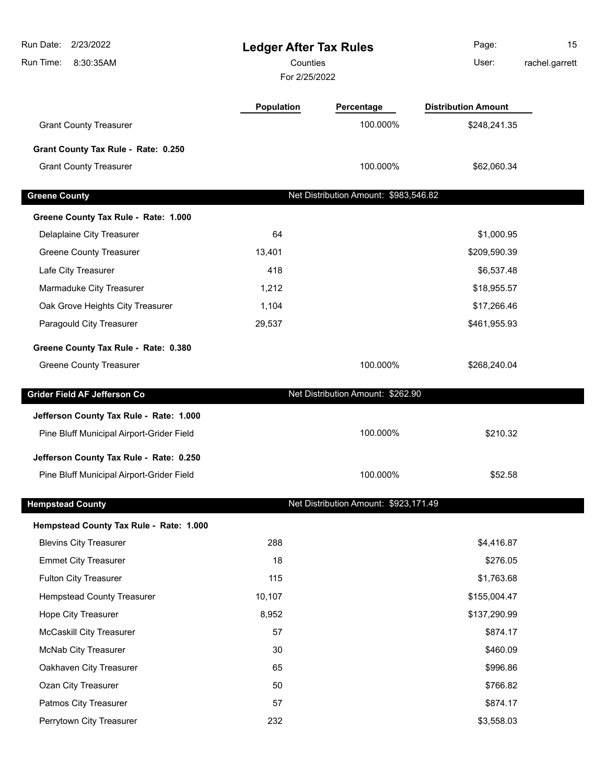| Run Date:<br>2/23/2022                    | <b>Ledger After Tax Rules</b> |                                       | Page:                      | 15             |
|-------------------------------------------|-------------------------------|---------------------------------------|----------------------------|----------------|
| Run Time:<br>8:30:35AM                    | Counties<br>For 2/25/2022     |                                       | User:                      | rachel.garrett |
|                                           | Population                    | Percentage                            | <b>Distribution Amount</b> |                |
| <b>Grant County Treasurer</b>             |                               | 100.000%                              | \$248,241.35               |                |
| Grant County Tax Rule - Rate: 0.250       |                               |                                       |                            |                |
| <b>Grant County Treasurer</b>             |                               | 100.000%                              | \$62,060.34                |                |
| <b>Greene County</b>                      |                               | Net Distribution Amount: \$983,546.82 |                            |                |
| Greene County Tax Rule - Rate: 1.000      |                               |                                       |                            |                |
| Delaplaine City Treasurer                 | 64                            |                                       | \$1,000.95                 |                |
| <b>Greene County Treasurer</b>            | 13,401                        |                                       | \$209,590.39               |                |
| Lafe City Treasurer                       | 418                           |                                       | \$6,537.48                 |                |
| Marmaduke City Treasurer                  | 1,212                         |                                       | \$18,955.57                |                |
| Oak Grove Heights City Treasurer          | 1,104                         |                                       | \$17,266.46                |                |
| Paragould City Treasurer                  | 29,537                        |                                       | \$461,955.93               |                |
| Greene County Tax Rule - Rate: 0.380      |                               |                                       |                            |                |
| <b>Greene County Treasurer</b>            |                               | 100.000%                              | \$268,240.04               |                |
| Grider Field AF Jefferson Co              |                               | Net Distribution Amount: \$262.90     |                            |                |
| Jefferson County Tax Rule - Rate: 1.000   |                               |                                       |                            |                |
| Pine Bluff Municipal Airport-Grider Field |                               | 100.000%                              | \$210.32                   |                |
| Jefferson County Tax Rule - Rate: 0.250   |                               |                                       |                            |                |
| Pine Bluff Municipal Airport-Grider Field |                               | 100.000%                              | \$52.58                    |                |
| <b>Hempstead County</b>                   |                               | Net Distribution Amount: \$923,171.49 |                            |                |
| Hempstead County Tax Rule - Rate: 1.000   |                               |                                       |                            |                |
| <b>Blevins City Treasurer</b>             | 288                           |                                       | \$4,416.87                 |                |
| <b>Emmet City Treasurer</b>               | 18                            |                                       | \$276.05                   |                |
| Fulton City Treasurer                     | 115                           |                                       | \$1,763.68                 |                |
| <b>Hempstead County Treasurer</b>         | 10,107                        |                                       | \$155,004.47               |                |
| Hope City Treasurer                       | 8,952                         |                                       | \$137,290.99               |                |
| McCaskill City Treasurer                  | 57                            |                                       | \$874.17                   |                |
| <b>McNab City Treasurer</b>               | 30                            |                                       | \$460.09                   |                |
| Oakhaven City Treasurer                   | 65                            |                                       | \$996.86                   |                |
| Ozan City Treasurer                       | 50                            |                                       | \$766.82                   |                |
| Patmos City Treasurer                     | 57                            |                                       | \$874.17                   |                |
| Perrytown City Treasurer                  | 232                           |                                       | \$3,558.03                 |                |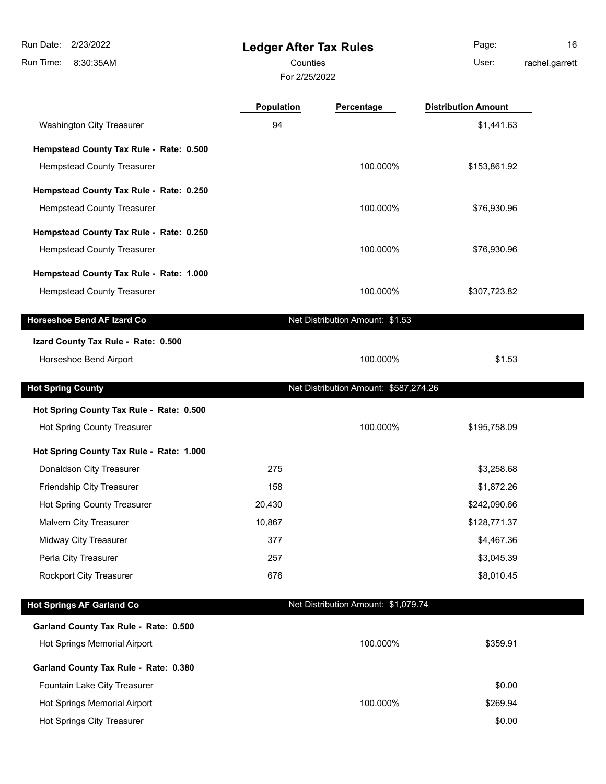8:30:35AM Run Time:

### **Ledger After Tax Rules**

For 2/25/2022 Counties User:

Page: 16 rachel.garrett

|  | racner.garre |  |  |  |
|--|--------------|--|--|--|
|  |              |  |  |  |

**Population Percentage Distribution Amount**

| Washington City Treasurer                | 94     |                                       | \$1,441.63   |  |
|------------------------------------------|--------|---------------------------------------|--------------|--|
| Hempstead County Tax Rule - Rate: 0.500  |        |                                       |              |  |
| <b>Hempstead County Treasurer</b>        |        | 100.000%                              | \$153,861.92 |  |
| Hempstead County Tax Rule - Rate: 0.250  |        |                                       |              |  |
| Hempstead County Treasurer               |        | 100.000%                              | \$76,930.96  |  |
| Hempstead County Tax Rule - Rate: 0.250  |        |                                       |              |  |
| Hempstead County Treasurer               |        | 100.000%                              | \$76,930.96  |  |
| Hempstead County Tax Rule - Rate: 1.000  |        |                                       |              |  |
| Hempstead County Treasurer               |        | 100.000%                              | \$307,723.82 |  |
| <b>Horseshoe Bend AF Izard Co</b>        |        | Net Distribution Amount: \$1.53       |              |  |
| Izard County Tax Rule - Rate: 0.500      |        |                                       |              |  |
| Horseshoe Bend Airport                   |        | 100.000%                              | \$1.53       |  |
| <b>Hot Spring County</b>                 |        | Net Distribution Amount: \$587,274.26 |              |  |
| Hot Spring County Tax Rule - Rate: 0.500 |        |                                       |              |  |
| Hot Spring County Treasurer              |        | 100.000%                              | \$195,758.09 |  |
| Hot Spring County Tax Rule - Rate: 1.000 |        |                                       |              |  |
| Donaldson City Treasurer                 | 275    |                                       | \$3,258.68   |  |
| Friendship City Treasurer                | 158    |                                       | \$1,872.26   |  |
| Hot Spring County Treasurer              | 20,430 |                                       | \$242,090.66 |  |
| Malvern City Treasurer                   | 10,867 |                                       | \$128,771.37 |  |
| Midway City Treasurer                    | 377    |                                       | \$4,467.36   |  |
| Perla City Treasurer                     | 257    |                                       | \$3,045.39   |  |
| <b>Rockport City Treasurer</b>           | 676    |                                       | \$8,010.45   |  |
|                                          |        |                                       |              |  |
| <b>Hot Springs AF Garland Co</b>         |        | Net Distribution Amount: \$1,079.74   |              |  |

| Hot Springs Memorial Airport          | 100.000% | \$359.91 |
|---------------------------------------|----------|----------|
| Garland County Tax Rule - Rate: 0.380 |          |          |
| Fountain Lake City Treasurer          |          | \$0.00   |
| <b>Hot Springs Memorial Airport</b>   | 100.000% | \$269.94 |
| Hot Springs City Treasurer            |          | \$0.00   |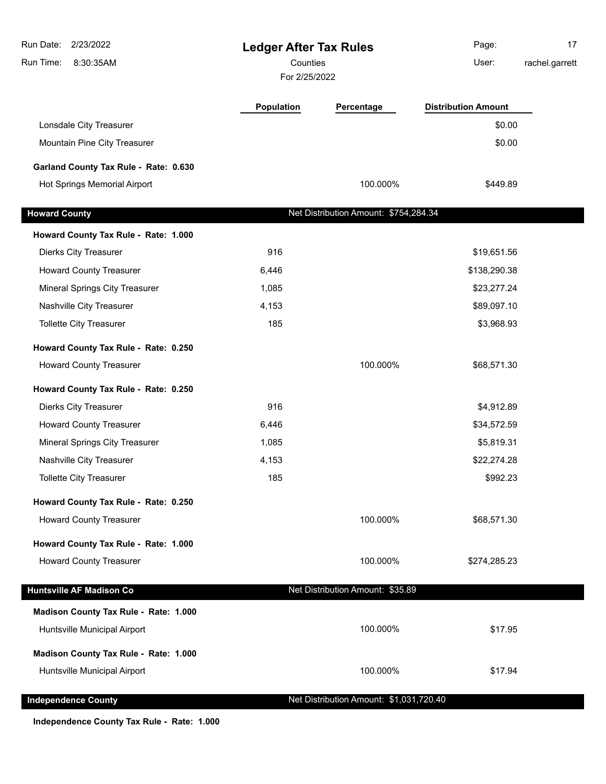| 2/23/2022<br>Run Date:<br>Run Time:<br>8:30:35AM | <b>Ledger After Tax Rules</b><br>Counties<br>For 2/25/2022 |                                         | Page:<br>User:             | 17<br>rachel.garrett |
|--------------------------------------------------|------------------------------------------------------------|-----------------------------------------|----------------------------|----------------------|
|                                                  |                                                            |                                         |                            |                      |
|                                                  | <b>Population</b>                                          | Percentage                              | <b>Distribution Amount</b> |                      |
| Lonsdale City Treasurer                          |                                                            |                                         | \$0.00                     |                      |
| Mountain Pine City Treasurer                     |                                                            |                                         | \$0.00                     |                      |
| Garland County Tax Rule - Rate: 0.630            |                                                            |                                         |                            |                      |
| Hot Springs Memorial Airport                     |                                                            | 100.000%                                | \$449.89                   |                      |
| <b>Howard County</b>                             |                                                            | Net Distribution Amount: \$754,284.34   |                            |                      |
| Howard County Tax Rule - Rate: 1.000             |                                                            |                                         |                            |                      |
| <b>Dierks City Treasurer</b>                     | 916                                                        |                                         | \$19,651.56                |                      |
| <b>Howard County Treasurer</b>                   | 6,446                                                      |                                         | \$138,290.38               |                      |
| <b>Mineral Springs City Treasurer</b>            | 1,085                                                      |                                         | \$23,277.24                |                      |
| Nashville City Treasurer                         | 4,153                                                      |                                         | \$89,097.10                |                      |
| Tollette City Treasurer                          | 185                                                        |                                         | \$3,968.93                 |                      |
| Howard County Tax Rule - Rate: 0.250             |                                                            |                                         |                            |                      |
| <b>Howard County Treasurer</b>                   |                                                            | 100.000%                                | \$68,571.30                |                      |
| Howard County Tax Rule - Rate: 0.250             |                                                            |                                         |                            |                      |
| <b>Dierks City Treasurer</b>                     | 916                                                        |                                         | \$4,912.89                 |                      |
| <b>Howard County Treasurer</b>                   | 6,446                                                      |                                         | \$34,572.59                |                      |
| Mineral Springs City Treasurer                   | 1,085                                                      |                                         | \$5,819.31                 |                      |
| Nashville City Treasurer                         | 4,153                                                      |                                         | \$22,274.28                |                      |
| <b>Tollette City Treasurer</b>                   | 185                                                        |                                         | \$992.23                   |                      |
| Howard County Tax Rule - Rate: 0.250             |                                                            |                                         |                            |                      |
| <b>Howard County Treasurer</b>                   |                                                            | 100.000%                                | \$68,571.30                |                      |
| Howard County Tax Rule - Rate: 1.000             |                                                            |                                         |                            |                      |
| <b>Howard County Treasurer</b>                   |                                                            | 100.000%                                | \$274,285.23               |                      |
| <b>Huntsville AF Madison Co</b>                  |                                                            | Net Distribution Amount: \$35.89        |                            |                      |
| Madison County Tax Rule - Rate: 1.000            |                                                            |                                         |                            |                      |
| Huntsville Municipal Airport                     |                                                            | 100.000%                                | \$17.95                    |                      |
| Madison County Tax Rule - Rate: 1.000            |                                                            |                                         |                            |                      |
| Huntsville Municipal Airport                     |                                                            | 100.000%                                | \$17.94                    |                      |
| <b>Independence County</b>                       |                                                            | Net Distribution Amount: \$1,031,720.40 |                            |                      |
|                                                  |                                                            |                                         |                            |                      |

**Independence County Tax Rule - Rate: 1.000**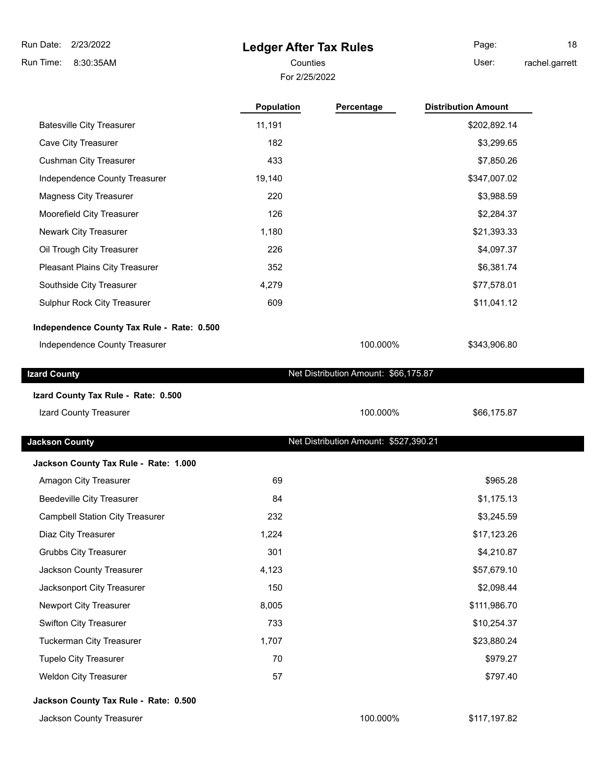8:30:35AM Run Time:

### **Ledger After Tax Rules**

For 2/25/2022

Page: 18

Counties **User:** 

**Population Percentage Distribution Amount** 

rachel.garrett

| <b>Batesville City Treasurer</b>           | 11,191 |                                       | \$202,892.14 |  |
|--------------------------------------------|--------|---------------------------------------|--------------|--|
| Cave City Treasurer                        | 182    |                                       | \$3,299.65   |  |
| <b>Cushman City Treasurer</b>              | 433    |                                       | \$7,850.26   |  |
| Independence County Treasurer              | 19,140 |                                       | \$347,007.02 |  |
| <b>Magness City Treasurer</b>              | 220    |                                       | \$3,988.59   |  |
| Moorefield City Treasurer                  | 126    |                                       | \$2,284.37   |  |
| Newark City Treasurer                      | 1,180  |                                       | \$21,393.33  |  |
| Oil Trough City Treasurer                  | 226    |                                       | \$4,097.37   |  |
| Pleasant Plains City Treasurer             | 352    |                                       | \$6,381.74   |  |
| Southside City Treasurer                   | 4,279  |                                       | \$77,578.01  |  |
| Sulphur Rock City Treasurer                | 609    |                                       | \$11,041.12  |  |
| Independence County Tax Rule - Rate: 0.500 |        |                                       |              |  |
| Independence County Treasurer              |        | 100.000%                              | \$343,906.80 |  |
|                                            |        | Net Distribution Amount: \$66,175.87  |              |  |
| <b>Izard County</b>                        |        |                                       |              |  |
| Izard County Tax Rule - Rate: 0.500        |        |                                       |              |  |
| Izard County Treasurer                     |        | 100.000%                              | \$66,175.87  |  |
|                                            |        |                                       |              |  |
| <b>Jackson County</b>                      |        | Net Distribution Amount: \$527,390.21 |              |  |
| Jackson County Tax Rule - Rate: 1.000      |        |                                       |              |  |
| Amagon City Treasurer                      | 69     |                                       | \$965.28     |  |
| <b>Beedeville City Treasurer</b>           | 84     |                                       | \$1,175.13   |  |
| <b>Campbell Station City Treasurer</b>     | 232    |                                       | \$3,245.59   |  |
| Diaz City Treasurer                        | 1,224  |                                       | \$17,123.26  |  |
| <b>Grubbs City Treasurer</b>               | 301    |                                       | \$4,210.87   |  |
| Jackson County Treasurer                   | 4,123  |                                       | \$57,679.10  |  |
| Jacksonport City Treasurer                 | 150    |                                       | \$2,098.44   |  |
| Newport City Treasurer                     | 8,005  |                                       | \$111,986.70 |  |
| Swifton City Treasurer                     | 733    |                                       | \$10,254.37  |  |
| <b>Tuckerman City Treasurer</b>            | 1,707  |                                       | \$23,880.24  |  |
| <b>Tupelo City Treasurer</b>               | 70     |                                       | \$979.27     |  |
| <b>Weldon City Treasurer</b>               | 57     |                                       | \$797.40     |  |
| Jackson County Tax Rule - Rate: 0.500      |        |                                       |              |  |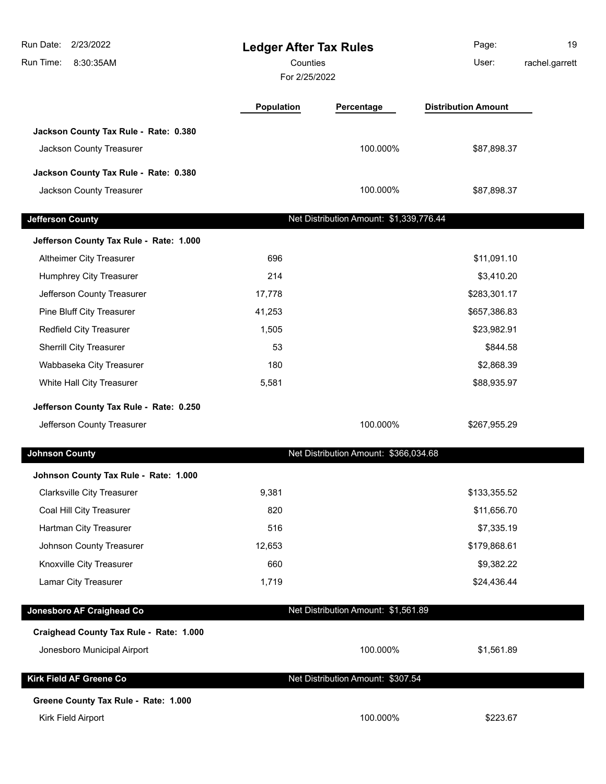| Run Date:<br>2/23/2022<br>Run Time:<br>8:30:35AM | <b>Ledger After Tax Rules</b><br>Counties<br>For 2/25/2022 |                                         | Page:<br>User:             | 19<br>rachel.garrett |
|--------------------------------------------------|------------------------------------------------------------|-----------------------------------------|----------------------------|----------------------|
|                                                  | Population                                                 | Percentage                              | <b>Distribution Amount</b> |                      |
| Jackson County Tax Rule - Rate: 0.380            |                                                            |                                         |                            |                      |
| Jackson County Treasurer                         |                                                            | 100.000%                                | \$87,898.37                |                      |
| Jackson County Tax Rule - Rate: 0.380            |                                                            |                                         |                            |                      |
| Jackson County Treasurer                         |                                                            | 100.000%                                | \$87,898.37                |                      |
|                                                  |                                                            |                                         |                            |                      |
| <b>Jefferson County</b>                          |                                                            | Net Distribution Amount: \$1,339,776.44 |                            |                      |
| Jefferson County Tax Rule - Rate: 1.000          |                                                            |                                         |                            |                      |
| Altheimer City Treasurer                         | 696                                                        |                                         | \$11,091.10                |                      |
| Humphrey City Treasurer                          | 214                                                        |                                         | \$3,410.20                 |                      |
| Jefferson County Treasurer                       | 17,778                                                     |                                         | \$283,301.17               |                      |
| Pine Bluff City Treasurer                        | 41,253                                                     |                                         | \$657,386.83               |                      |
| Redfield City Treasurer                          | 1,505                                                      |                                         | \$23,982.91                |                      |
| Sherrill City Treasurer                          | 53                                                         |                                         | \$844.58                   |                      |
| Wabbaseka City Treasurer                         | 180                                                        |                                         | \$2,868.39                 |                      |
| White Hall City Treasurer                        | 5,581                                                      |                                         | \$88,935.97                |                      |
| Jefferson County Tax Rule - Rate: 0.250          |                                                            |                                         |                            |                      |
| Jefferson County Treasurer                       |                                                            | 100.000%                                | \$267,955.29               |                      |
| <b>Johnson County</b>                            |                                                            | Net Distribution Amount: \$366,034.68   |                            |                      |
| Johnson County Tax Rule - Rate: 1.000            |                                                            |                                         |                            |                      |
| <b>Clarksville City Treasurer</b>                | 9,381                                                      |                                         | \$133,355.52               |                      |
| Coal Hill City Treasurer                         | 820                                                        |                                         | \$11,656.70                |                      |
| Hartman City Treasurer                           | 516                                                        |                                         | \$7,335.19                 |                      |
| Johnson County Treasurer                         | 12,653                                                     |                                         | \$179,868.61               |                      |
| Knoxville City Treasurer                         | 660                                                        |                                         | \$9,382.22                 |                      |
| Lamar City Treasurer                             | 1,719                                                      |                                         | \$24,436.44                |                      |
| Jonesboro AF Craighead Co                        |                                                            | Net Distribution Amount: \$1,561.89     |                            |                      |
| Craighead County Tax Rule - Rate: 1.000          |                                                            |                                         |                            |                      |
| Jonesboro Municipal Airport                      |                                                            | 100.000%                                | \$1,561.89                 |                      |
| <b>Kirk Field AF Greene Co</b>                   |                                                            | Net Distribution Amount: \$307.54       |                            |                      |
| Greene County Tax Rule - Rate: 1.000             |                                                            |                                         |                            |                      |
| Kirk Field Airport                               |                                                            | 100.000%                                | \$223.67                   |                      |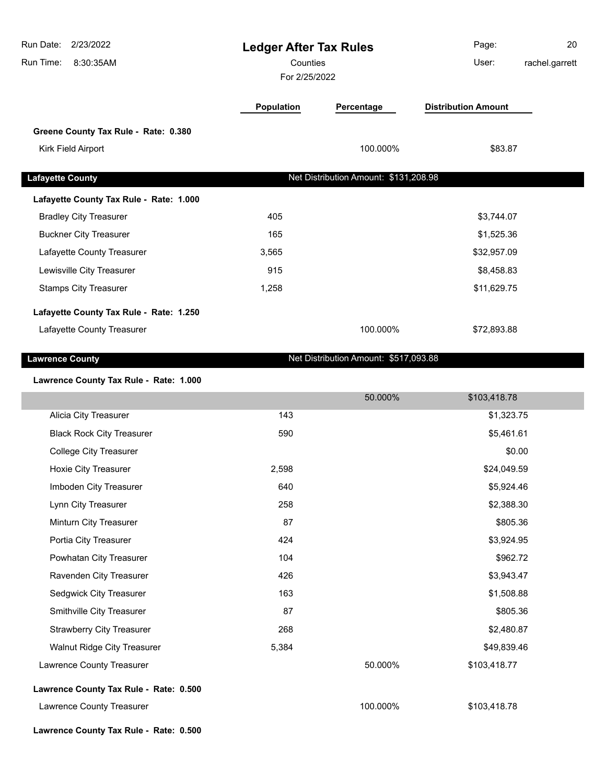| Run Date:<br>2/23/2022                  | <b>Ledger After Tax Rules</b> |                                       | Page:                      | 20             |
|-----------------------------------------|-------------------------------|---------------------------------------|----------------------------|----------------|
| Run Time:<br>8:30:35AM                  | Counties<br>For 2/25/2022     |                                       | User:                      | rachel.garrett |
|                                         | <b>Population</b>             | Percentage                            | <b>Distribution Amount</b> |                |
| Greene County Tax Rule - Rate: 0.380    |                               |                                       |                            |                |
| Kirk Field Airport                      |                               | 100.000%                              | \$83.87                    |                |
| <b>Lafayette County</b>                 |                               | Net Distribution Amount: \$131,208.98 |                            |                |
| Lafayette County Tax Rule - Rate: 1.000 |                               |                                       |                            |                |
| <b>Bradley City Treasurer</b>           | 405                           |                                       | \$3,744.07                 |                |
| <b>Buckner City Treasurer</b>           | 165                           |                                       | \$1,525.36                 |                |
| Lafayette County Treasurer              | 3,565                         |                                       | \$32,957.09                |                |
| Lewisville City Treasurer               | 915                           |                                       | \$8,458.83                 |                |
| <b>Stamps City Treasurer</b>            | 1,258                         |                                       | \$11,629.75                |                |
| Lafayette County Tax Rule - Rate: 1.250 |                               |                                       |                            |                |
| Lafayette County Treasurer              |                               | 100.000%                              | \$72,893.88                |                |
| <b>Lawrence County</b>                  |                               | Net Distribution Amount: \$517,093.88 |                            |                |
| <b>B-4-- 4 888</b>                      |                               |                                       |                            |                |

#### **Lawrence County Tax Rule - Rate: 1.000**

|                                        |       | 50.000%  | \$103,418.78 |  |
|----------------------------------------|-------|----------|--------------|--|
| Alicia City Treasurer                  | 143   |          | \$1,323.75   |  |
| <b>Black Rock City Treasurer</b>       | 590   |          | \$5,461.61   |  |
| <b>College City Treasurer</b>          |       |          | \$0.00       |  |
| Hoxie City Treasurer                   | 2,598 |          | \$24,049.59  |  |
| Imboden City Treasurer                 | 640   |          | \$5,924.46   |  |
| Lynn City Treasurer                    | 258   |          | \$2,388.30   |  |
| Minturn City Treasurer                 | 87    |          | \$805.36     |  |
| Portia City Treasurer                  | 424   |          | \$3,924.95   |  |
| Powhatan City Treasurer                | 104   |          | \$962.72     |  |
| Ravenden City Treasurer                | 426   |          | \$3,943.47   |  |
| Sedgwick City Treasurer                | 163   |          | \$1,508.88   |  |
| Smithville City Treasurer              | 87    |          | \$805.36     |  |
| <b>Strawberry City Treasurer</b>       | 268   |          | \$2,480.87   |  |
| <b>Walnut Ridge City Treasurer</b>     | 5,384 |          | \$49,839.46  |  |
| Lawrence County Treasurer              |       | 50.000%  | \$103,418.77 |  |
| Lawrence County Tax Rule - Rate: 0.500 |       |          |              |  |
| Lawrence County Treasurer              |       | 100.000% | \$103,418.78 |  |
| Lawrence County Tax Rule - Rate: 0.500 |       |          |              |  |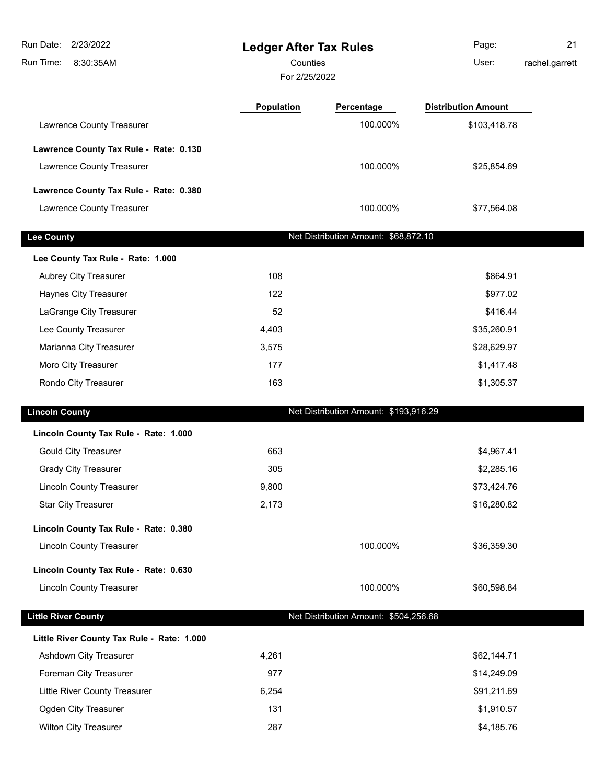| Run Date:<br>2/23/2022<br>Run Time:<br>8:30:35AM | <b>Ledger After Tax Rules</b><br>Counties<br>For 2/25/2022 |                                       | Page:<br>User:             | 21<br>rachel.garrett |
|--------------------------------------------------|------------------------------------------------------------|---------------------------------------|----------------------------|----------------------|
|                                                  | Population                                                 | Percentage                            | <b>Distribution Amount</b> |                      |
| Lawrence County Treasurer                        |                                                            | 100.000%                              | \$103,418.78               |                      |
| Lawrence County Tax Rule - Rate: 0.130           |                                                            |                                       |                            |                      |
| Lawrence County Treasurer                        |                                                            | 100.000%                              | \$25,854.69                |                      |
| Lawrence County Tax Rule - Rate: 0.380           |                                                            |                                       |                            |                      |
| Lawrence County Treasurer                        |                                                            | 100.000%                              | \$77,564.08                |                      |
|                                                  |                                                            |                                       |                            |                      |
| <b>Lee County</b>                                |                                                            | Net Distribution Amount: \$68,872.10  |                            |                      |
| Lee County Tax Rule - Rate: 1.000                |                                                            |                                       |                            |                      |
| Aubrey City Treasurer                            | 108                                                        |                                       | \$864.91                   |                      |
| Haynes City Treasurer                            | 122                                                        |                                       | \$977.02                   |                      |
| LaGrange City Treasurer                          | 52                                                         |                                       | \$416.44                   |                      |
| Lee County Treasurer                             | 4,403                                                      |                                       | \$35,260.91                |                      |
| Marianna City Treasurer                          | 3,575                                                      |                                       | \$28,629.97                |                      |
| Moro City Treasurer                              | 177                                                        |                                       | \$1,417.48                 |                      |
| Rondo City Treasurer                             | 163                                                        |                                       | \$1,305.37                 |                      |
| <b>Lincoln County</b>                            |                                                            | Net Distribution Amount: \$193,916.29 |                            |                      |
| Lincoln County Tax Rule - Rate: 1.000            |                                                            |                                       |                            |                      |
| <b>Gould City Treasurer</b>                      | 663                                                        |                                       | \$4,967.41                 |                      |
| <b>Grady City Treasurer</b>                      | 305                                                        |                                       | \$2,285.16                 |                      |
| <b>Lincoln County Treasurer</b>                  | 9,800                                                      |                                       | \$73,424.76                |                      |
| <b>Star City Treasurer</b>                       | 2,173                                                      |                                       | \$16,280.82                |                      |
|                                                  |                                                            |                                       |                            |                      |
| Lincoln County Tax Rule - Rate: 0.380            |                                                            |                                       |                            |                      |
| <b>Lincoln County Treasurer</b>                  |                                                            | 100.000%                              | \$36,359.30                |                      |
| Lincoln County Tax Rule - Rate: 0.630            |                                                            |                                       |                            |                      |
| <b>Lincoln County Treasurer</b>                  |                                                            | 100.000%                              | \$60,598.84                |                      |
| <b>Little River County</b>                       |                                                            | Net Distribution Amount: \$504,256.68 |                            |                      |
| Little River County Tax Rule - Rate: 1.000       |                                                            |                                       |                            |                      |
| Ashdown City Treasurer                           | 4,261                                                      |                                       | \$62,144.71                |                      |
| Foreman City Treasurer                           | 977                                                        |                                       | \$14,249.09                |                      |
| Little River County Treasurer                    | 6,254                                                      |                                       | \$91,211.69                |                      |
| Ogden City Treasurer                             | 131                                                        |                                       | \$1,910.57                 |                      |
| Wilton City Treasurer                            | 287                                                        |                                       | \$4,185.76                 |                      |
|                                                  |                                                            |                                       |                            |                      |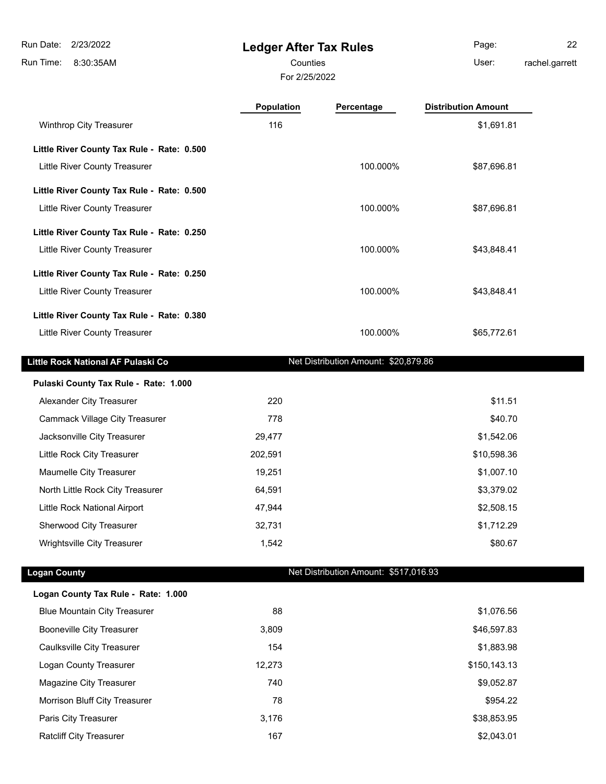8:30:35AM Run Time:

ı

п

### **Ledger After Tax Rules**

For 2/25/2022

Page: 22

Counties **User:** 

rachel.garrett

|                                            | Population | Percentage                            | <b>Distribution Amount</b> |  |
|--------------------------------------------|------------|---------------------------------------|----------------------------|--|
| Winthrop City Treasurer                    | 116        |                                       | \$1,691.81                 |  |
| Little River County Tax Rule - Rate: 0.500 |            |                                       |                            |  |
| Little River County Treasurer              |            | 100.000%                              | \$87,696.81                |  |
| Little River County Tax Rule - Rate: 0.500 |            |                                       |                            |  |
| <b>Little River County Treasurer</b>       |            | 100.000%                              | \$87,696.81                |  |
| Little River County Tax Rule - Rate: 0.250 |            |                                       |                            |  |
| Little River County Treasurer              |            | 100.000%                              | \$43,848.41                |  |
| Little River County Tax Rule - Rate: 0.250 |            |                                       |                            |  |
| Little River County Treasurer              |            | 100.000%                              | \$43,848.41                |  |
| Little River County Tax Rule - Rate: 0.380 |            |                                       |                            |  |
| Little River County Treasurer              |            | 100.000%                              | \$65,772.61                |  |
| Little Rock National AF Pulaski Co         |            | Net Distribution Amount: \$20,879.86  |                            |  |
| Pulaski County Tax Rule - Rate: 1.000      |            |                                       |                            |  |
| Alexander City Treasurer                   | 220        |                                       | \$11.51                    |  |
| <b>Cammack Village City Treasurer</b>      | 778        |                                       | \$40.70                    |  |
| Jacksonville City Treasurer                | 29,477     |                                       | \$1,542.06                 |  |
| Little Rock City Treasurer                 | 202,591    |                                       | \$10,598.36                |  |
| Maumelle City Treasurer                    | 19,251     |                                       | \$1,007.10                 |  |
| North Little Rock City Treasurer           | 64,591     |                                       | \$3,379.02                 |  |
| Little Rock National Airport               | 47,944     |                                       | \$2,508.15                 |  |
| Sherwood City Treasurer                    | 32,731     |                                       | \$1,712.29                 |  |
| Wrightsville City Treasurer                | 1,542      |                                       | \$80.67                    |  |
| <b>Logan County</b>                        |            | Net Distribution Amount: \$517,016.93 |                            |  |
| Logan County Tax Rule - Rate: 1.000        |            |                                       |                            |  |
| <b>Blue Mountain City Treasurer</b>        | 88         |                                       | \$1,076.56                 |  |
| <b>Booneville City Treasurer</b>           | 3,809      |                                       | \$46,597.83                |  |
| Caulksville City Treasurer                 | 154        |                                       | \$1,883.98                 |  |
| Logan County Treasurer                     | 12,273     |                                       | \$150,143.13               |  |
| Magazine City Treasurer                    | 740        |                                       | \$9,052.87                 |  |
| Morrison Bluff City Treasurer              | 78         |                                       | \$954.22                   |  |
| Paris City Treasurer                       | 3,176      |                                       | \$38,853.95                |  |

Ratcliff City Treasurer 167 \$2,043.01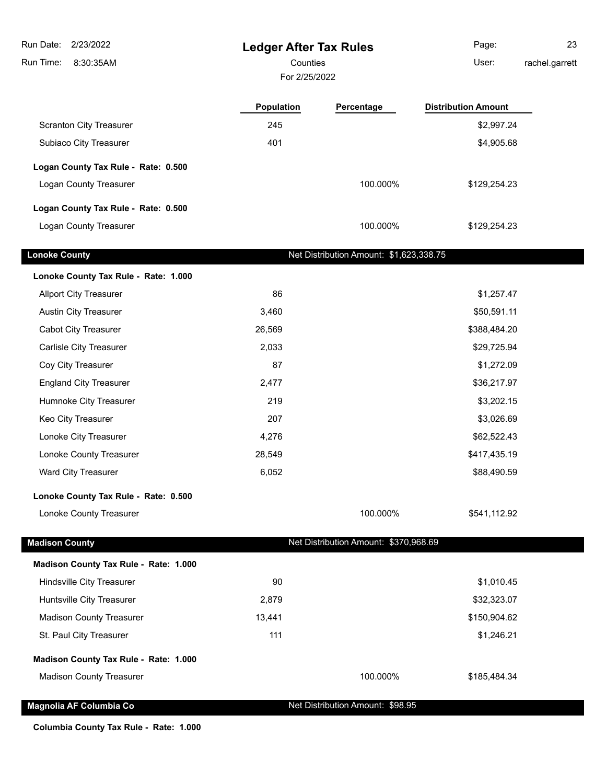| Run Date:<br>2/23/2022                | <b>Ledger After Tax Rules</b> |                                         | Page:                      | 23             |
|---------------------------------------|-------------------------------|-----------------------------------------|----------------------------|----------------|
| Run Time:<br>8:30:35AM                | Counties                      |                                         | User:                      | rachel.garrett |
|                                       | For 2/25/2022                 |                                         |                            |                |
|                                       | <b>Population</b>             | Percentage                              | <b>Distribution Amount</b> |                |
| <b>Scranton City Treasurer</b>        | 245                           |                                         | \$2,997.24                 |                |
| Subiaco City Treasurer                | 401                           |                                         | \$4,905.68                 |                |
| Logan County Tax Rule - Rate: 0.500   |                               |                                         |                            |                |
| Logan County Treasurer                |                               | 100.000%                                | \$129,254.23               |                |
| Logan County Tax Rule - Rate: 0.500   |                               |                                         |                            |                |
| Logan County Treasurer                |                               | 100.000%                                | \$129,254.23               |                |
| <b>Lonoke County</b>                  |                               | Net Distribution Amount: \$1,623,338.75 |                            |                |
|                                       |                               |                                         |                            |                |
| Lonoke County Tax Rule - Rate: 1.000  |                               |                                         |                            |                |
| <b>Allport City Treasurer</b>         | 86                            |                                         | \$1,257.47                 |                |
| <b>Austin City Treasurer</b>          | 3,460                         |                                         | \$50,591.11                |                |
| <b>Cabot City Treasurer</b>           | 26,569                        |                                         | \$388,484.20               |                |
| Carlisle City Treasurer               | 2,033                         |                                         | \$29,725.94                |                |
| Coy City Treasurer                    | 87                            |                                         | \$1,272.09                 |                |
| <b>England City Treasurer</b>         | 2,477                         |                                         | \$36,217.97                |                |
| Humnoke City Treasurer                | 219                           |                                         | \$3,202.15                 |                |
| Keo City Treasurer                    | 207                           |                                         | \$3,026.69                 |                |
| Lonoke City Treasurer                 | 4,276                         |                                         | \$62,522.43                |                |
| Lonoke County Treasurer               | 28,549                        |                                         | \$417,435.19               |                |
| Ward City Treasurer                   | 6,052                         |                                         | \$88,490.59                |                |
| Lonoke County Tax Rule - Rate: 0.500  |                               |                                         |                            |                |
| Lonoke County Treasurer               |                               | 100.000%                                | \$541,112.92               |                |
| <b>Madison County</b>                 |                               | Net Distribution Amount: \$370,968.69   |                            |                |
| Madison County Tax Rule - Rate: 1.000 |                               |                                         |                            |                |
| Hindsville City Treasurer             | 90                            |                                         | \$1,010.45                 |                |
| Huntsville City Treasurer             | 2,879                         |                                         | \$32,323.07                |                |
| <b>Madison County Treasurer</b>       | 13,441                        |                                         | \$150,904.62               |                |
| St. Paul City Treasurer               | 111                           |                                         | \$1,246.21                 |                |
| Madison County Tax Rule - Rate: 1.000 |                               |                                         |                            |                |
| <b>Madison County Treasurer</b>       |                               | 100.000%                                | \$185,484.34               |                |
| Magnolia AF Columbia Co               |                               | Net Distribution Amount: \$98.95        |                            |                |

**Columbia County Tax Rule - Rate: 1.000**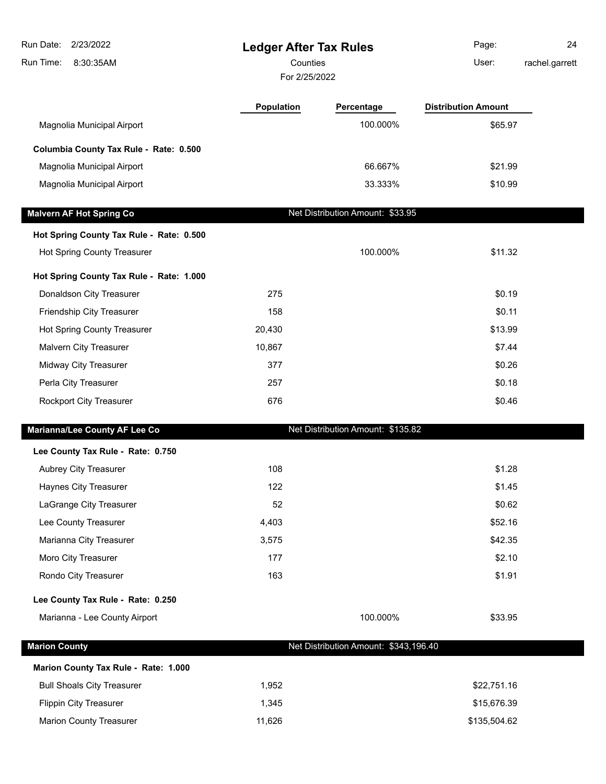| 2/23/2022<br>Run Date:<br>Run Time:<br>8:30:35AM | <b>Ledger After Tax Rules</b><br>Counties<br>For 2/25/2022 |                                       | Page:<br>User:             | 24<br>rachel.garrett |
|--------------------------------------------------|------------------------------------------------------------|---------------------------------------|----------------------------|----------------------|
|                                                  | <b>Population</b>                                          | Percentage                            | <b>Distribution Amount</b> |                      |
| Magnolia Municipal Airport                       |                                                            | 100.000%                              | \$65.97                    |                      |
| Columbia County Tax Rule - Rate: 0.500           |                                                            |                                       |                            |                      |
| Magnolia Municipal Airport                       |                                                            | 66.667%                               | \$21.99                    |                      |
| Magnolia Municipal Airport                       |                                                            | 33.333%                               | \$10.99                    |                      |
| <b>Malvern AF Hot Spring Co</b>                  |                                                            | Net Distribution Amount: \$33.95      |                            |                      |
| Hot Spring County Tax Rule - Rate: 0.500         |                                                            |                                       |                            |                      |
| Hot Spring County Treasurer                      |                                                            | 100.000%                              | \$11.32                    |                      |
| Hot Spring County Tax Rule - Rate: 1.000         |                                                            |                                       |                            |                      |
| Donaldson City Treasurer                         | 275                                                        |                                       | \$0.19                     |                      |
| Friendship City Treasurer                        | 158                                                        |                                       | \$0.11                     |                      |
| Hot Spring County Treasurer                      | 20,430                                                     |                                       | \$13.99                    |                      |
| Malvern City Treasurer                           | 10,867                                                     |                                       | \$7.44                     |                      |
| Midway City Treasurer                            | 377                                                        |                                       | \$0.26                     |                      |
| Perla City Treasurer                             | 257                                                        |                                       | \$0.18                     |                      |
| Rockport City Treasurer                          | 676                                                        |                                       | \$0.46                     |                      |
| Marianna/Lee County AF Lee Co                    |                                                            | Net Distribution Amount: \$135.82     |                            |                      |
| Lee County Tax Rule - Rate: 0.750                |                                                            |                                       |                            |                      |
| <b>Aubrey City Treasurer</b>                     | 108                                                        |                                       | \$1.28                     |                      |
| Haynes City Treasurer                            | 122                                                        |                                       | \$1.45                     |                      |
| LaGrange City Treasurer                          | 52                                                         |                                       | \$0.62                     |                      |
| Lee County Treasurer                             | 4,403                                                      |                                       | \$52.16                    |                      |
| Marianna City Treasurer                          | 3,575                                                      |                                       | \$42.35                    |                      |
| Moro City Treasurer                              | 177                                                        |                                       | \$2.10                     |                      |
| Rondo City Treasurer                             | 163                                                        |                                       | \$1.91                     |                      |
| Lee County Tax Rule - Rate: 0.250                |                                                            |                                       |                            |                      |
| Marianna - Lee County Airport                    |                                                            | 100.000%                              | \$33.95                    |                      |
| <b>Marion County</b>                             |                                                            | Net Distribution Amount: \$343,196.40 |                            |                      |
| Marion County Tax Rule - Rate: 1.000             |                                                            |                                       |                            |                      |
| <b>Bull Shoals City Treasurer</b>                | 1,952                                                      |                                       | \$22,751.16                |                      |
| <b>Flippin City Treasurer</b>                    | 1,345                                                      |                                       | \$15,676.39                |                      |
| <b>Marion County Treasurer</b>                   | 11,626                                                     |                                       | \$135,504.62               |                      |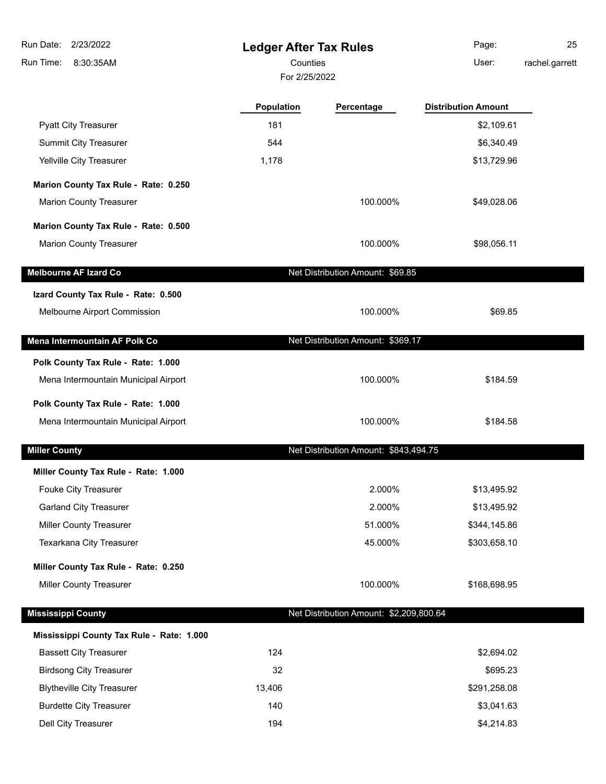| 2/23/2022<br>Run Date:                    | <b>Ledger After Tax Rules</b> |                                         | Page:                      | 25             |
|-------------------------------------------|-------------------------------|-----------------------------------------|----------------------------|----------------|
| 8:30:35AM<br>Run Time:                    | Counties                      |                                         | User:                      | rachel.garrett |
|                                           | For 2/25/2022                 |                                         |                            |                |
|                                           | Population                    | Percentage                              | <b>Distribution Amount</b> |                |
| <b>Pyatt City Treasurer</b>               | 181                           |                                         | \$2,109.61                 |                |
| Summit City Treasurer                     | 544                           |                                         | \$6,340.49                 |                |
| Yellville City Treasurer                  | 1,178                         |                                         | \$13,729.96                |                |
| Marion County Tax Rule - Rate: 0.250      |                               |                                         |                            |                |
| <b>Marion County Treasurer</b>            |                               | 100.000%                                | \$49,028.06                |                |
|                                           |                               |                                         |                            |                |
| Marion County Tax Rule - Rate: 0.500      |                               |                                         |                            |                |
| <b>Marion County Treasurer</b>            |                               | 100.000%                                | \$98,056.11                |                |
| <b>Melbourne AF Izard Co</b>              |                               | Net Distribution Amount: \$69.85        |                            |                |
| Izard County Tax Rule - Rate: 0.500       |                               |                                         |                            |                |
| Melbourne Airport Commission              |                               | 100.000%                                | \$69.85                    |                |
|                                           |                               |                                         |                            |                |
| Mena Intermountain AF Polk Co             |                               | Net Distribution Amount: \$369.17       |                            |                |
| Polk County Tax Rule - Rate: 1.000        |                               |                                         |                            |                |
| Mena Intermountain Municipal Airport      |                               | 100.000%                                | \$184.59                   |                |
| Polk County Tax Rule - Rate: 1.000        |                               |                                         |                            |                |
| Mena Intermountain Municipal Airport      |                               | 100.000%                                | \$184.58                   |                |
| <b>Miller County</b>                      |                               | Net Distribution Amount: \$843,494.75   |                            |                |
|                                           |                               |                                         |                            |                |
| Miller County Tax Rule - Rate: 1.000      |                               |                                         |                            |                |
| Fouke City Treasurer                      |                               | 2.000%                                  | \$13,495.92                |                |
| <b>Garland City Treasurer</b>             |                               | 2.000%                                  | \$13,495.92                |                |
| Miller County Treasurer                   |                               | 51.000%<br>45.000%                      | \$344,145.86               |                |
| Texarkana City Treasurer                  |                               |                                         | \$303,658.10               |                |
| Miller County Tax Rule - Rate: 0.250      |                               |                                         |                            |                |
| Miller County Treasurer                   |                               | 100.000%                                | \$168,698.95               |                |
| <b>Mississippi County</b>                 |                               | Net Distribution Amount: \$2,209,800.64 |                            |                |
| Mississippi County Tax Rule - Rate: 1.000 |                               |                                         |                            |                |
| <b>Bassett City Treasurer</b>             | 124                           |                                         | \$2,694.02                 |                |
| <b>Birdsong City Treasurer</b>            | 32                            |                                         | \$695.23                   |                |
| <b>Blytheville City Treasurer</b>         | 13,406                        |                                         | \$291,258.08               |                |
| <b>Burdette City Treasurer</b>            | 140                           |                                         | \$3,041.63                 |                |
| Dell City Treasurer                       | 194                           |                                         | \$4,214.83                 |                |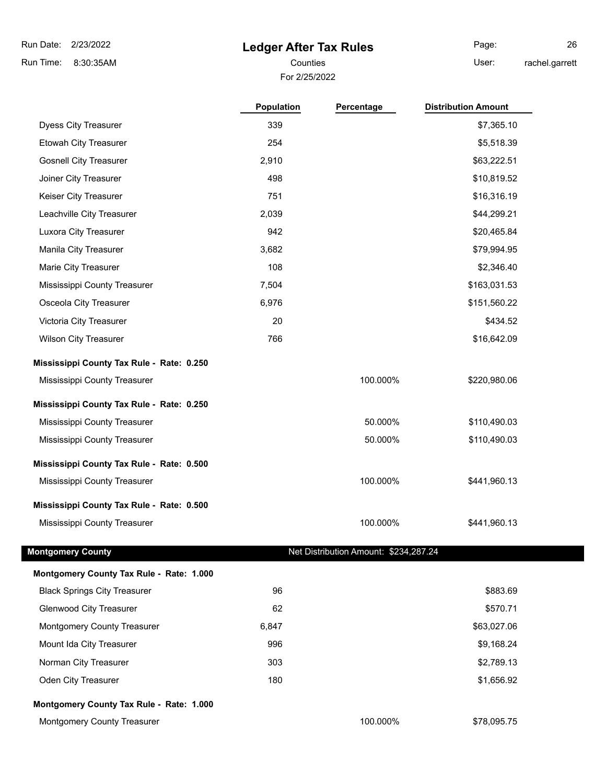8:30:35AM Run Time:

## **Ledger After Tax Rules**

For 2/25/2022 Counties **User:** 

Page: 26 rachel.garrett

| <b>Dyess City Treasurer</b><br>339<br>\$7,365.10<br>Etowah City Treasurer<br>254<br>\$5,518.39<br><b>Gosnell City Treasurer</b><br>2,910<br>\$63,222.51<br>Joiner City Treasurer<br>498<br>\$10,819.52<br>751<br>Keiser City Treasurer<br>\$16,316.19<br>Leachville City Treasurer<br>2,039<br>\$44,299.21<br>Luxora City Treasurer<br>942<br>\$20,465.84<br>3,682<br>Manila City Treasurer<br>\$79,994.95<br>108<br>Marie City Treasurer<br>\$2,346.40<br>Mississippi County Treasurer<br>7,504<br>\$163,031.53<br>Osceola City Treasurer<br>6,976<br>\$151,560.22<br>Victoria City Treasurer<br>20<br>\$434.52<br>766<br><b>Wilson City Treasurer</b><br>\$16,642.09<br>Mississippi County Tax Rule - Rate: 0.250<br>100.000%<br>\$220,980.06<br>Mississippi County Treasurer<br>Mississippi County Tax Rule - Rate: 0.250<br>50.000%<br>\$110,490.03<br>Mississippi County Treasurer<br>50.000%<br>\$110,490.03<br>Mississippi County Treasurer<br>Mississippi County Tax Rule - Rate: 0.500<br>100.000%<br>\$441,960.13<br>Mississippi County Treasurer<br>Mississippi County Tax Rule - Rate: 0.500<br>Mississippi County Treasurer<br>100.000%<br>\$441,960.13 |
|----------------------------------------------------------------------------------------------------------------------------------------------------------------------------------------------------------------------------------------------------------------------------------------------------------------------------------------------------------------------------------------------------------------------------------------------------------------------------------------------------------------------------------------------------------------------------------------------------------------------------------------------------------------------------------------------------------------------------------------------------------------------------------------------------------------------------------------------------------------------------------------------------------------------------------------------------------------------------------------------------------------------------------------------------------------------------------------------------------------------------------------------------------------------|
|                                                                                                                                                                                                                                                                                                                                                                                                                                                                                                                                                                                                                                                                                                                                                                                                                                                                                                                                                                                                                                                                                                                                                                      |
|                                                                                                                                                                                                                                                                                                                                                                                                                                                                                                                                                                                                                                                                                                                                                                                                                                                                                                                                                                                                                                                                                                                                                                      |
|                                                                                                                                                                                                                                                                                                                                                                                                                                                                                                                                                                                                                                                                                                                                                                                                                                                                                                                                                                                                                                                                                                                                                                      |
|                                                                                                                                                                                                                                                                                                                                                                                                                                                                                                                                                                                                                                                                                                                                                                                                                                                                                                                                                                                                                                                                                                                                                                      |
|                                                                                                                                                                                                                                                                                                                                                                                                                                                                                                                                                                                                                                                                                                                                                                                                                                                                                                                                                                                                                                                                                                                                                                      |
|                                                                                                                                                                                                                                                                                                                                                                                                                                                                                                                                                                                                                                                                                                                                                                                                                                                                                                                                                                                                                                                                                                                                                                      |
|                                                                                                                                                                                                                                                                                                                                                                                                                                                                                                                                                                                                                                                                                                                                                                                                                                                                                                                                                                                                                                                                                                                                                                      |
|                                                                                                                                                                                                                                                                                                                                                                                                                                                                                                                                                                                                                                                                                                                                                                                                                                                                                                                                                                                                                                                                                                                                                                      |
|                                                                                                                                                                                                                                                                                                                                                                                                                                                                                                                                                                                                                                                                                                                                                                                                                                                                                                                                                                                                                                                                                                                                                                      |
|                                                                                                                                                                                                                                                                                                                                                                                                                                                                                                                                                                                                                                                                                                                                                                                                                                                                                                                                                                                                                                                                                                                                                                      |
|                                                                                                                                                                                                                                                                                                                                                                                                                                                                                                                                                                                                                                                                                                                                                                                                                                                                                                                                                                                                                                                                                                                                                                      |
|                                                                                                                                                                                                                                                                                                                                                                                                                                                                                                                                                                                                                                                                                                                                                                                                                                                                                                                                                                                                                                                                                                                                                                      |
|                                                                                                                                                                                                                                                                                                                                                                                                                                                                                                                                                                                                                                                                                                                                                                                                                                                                                                                                                                                                                                                                                                                                                                      |
|                                                                                                                                                                                                                                                                                                                                                                                                                                                                                                                                                                                                                                                                                                                                                                                                                                                                                                                                                                                                                                                                                                                                                                      |
|                                                                                                                                                                                                                                                                                                                                                                                                                                                                                                                                                                                                                                                                                                                                                                                                                                                                                                                                                                                                                                                                                                                                                                      |
|                                                                                                                                                                                                                                                                                                                                                                                                                                                                                                                                                                                                                                                                                                                                                                                                                                                                                                                                                                                                                                                                                                                                                                      |
|                                                                                                                                                                                                                                                                                                                                                                                                                                                                                                                                                                                                                                                                                                                                                                                                                                                                                                                                                                                                                                                                                                                                                                      |
|                                                                                                                                                                                                                                                                                                                                                                                                                                                                                                                                                                                                                                                                                                                                                                                                                                                                                                                                                                                                                                                                                                                                                                      |
|                                                                                                                                                                                                                                                                                                                                                                                                                                                                                                                                                                                                                                                                                                                                                                                                                                                                                                                                                                                                                                                                                                                                                                      |
|                                                                                                                                                                                                                                                                                                                                                                                                                                                                                                                                                                                                                                                                                                                                                                                                                                                                                                                                                                                                                                                                                                                                                                      |
|                                                                                                                                                                                                                                                                                                                                                                                                                                                                                                                                                                                                                                                                                                                                                                                                                                                                                                                                                                                                                                                                                                                                                                      |
|                                                                                                                                                                                                                                                                                                                                                                                                                                                                                                                                                                                                                                                                                                                                                                                                                                                                                                                                                                                                                                                                                                                                                                      |
| Net Distribution Amount: \$234,287.24<br><b>Montgomery County</b>                                                                                                                                                                                                                                                                                                                                                                                                                                                                                                                                                                                                                                                                                                                                                                                                                                                                                                                                                                                                                                                                                                    |
| Montgomery County Tax Rule - Rate: 1.000                                                                                                                                                                                                                                                                                                                                                                                                                                                                                                                                                                                                                                                                                                                                                                                                                                                                                                                                                                                                                                                                                                                             |
| <b>Black Springs City Treasurer</b><br>96<br>\$883.69                                                                                                                                                                                                                                                                                                                                                                                                                                                                                                                                                                                                                                                                                                                                                                                                                                                                                                                                                                                                                                                                                                                |
| 62<br>\$570.71<br><b>Glenwood City Treasurer</b>                                                                                                                                                                                                                                                                                                                                                                                                                                                                                                                                                                                                                                                                                                                                                                                                                                                                                                                                                                                                                                                                                                                     |
| Montgomery County Treasurer<br>6,847<br>\$63,027.06                                                                                                                                                                                                                                                                                                                                                                                                                                                                                                                                                                                                                                                                                                                                                                                                                                                                                                                                                                                                                                                                                                                  |
| Mount Ida City Treasurer<br>996<br>\$9,168.24                                                                                                                                                                                                                                                                                                                                                                                                                                                                                                                                                                                                                                                                                                                                                                                                                                                                                                                                                                                                                                                                                                                        |
| Norman City Treasurer<br>303<br>\$2,789.13                                                                                                                                                                                                                                                                                                                                                                                                                                                                                                                                                                                                                                                                                                                                                                                                                                                                                                                                                                                                                                                                                                                           |
| Oden City Treasurer<br>180<br>\$1,656.92                                                                                                                                                                                                                                                                                                                                                                                                                                                                                                                                                                                                                                                                                                                                                                                                                                                                                                                                                                                                                                                                                                                             |
| Montgomery County Tax Rule - Rate: 1.000                                                                                                                                                                                                                                                                                                                                                                                                                                                                                                                                                                                                                                                                                                                                                                                                                                                                                                                                                                                                                                                                                                                             |
| Montgomery County Treasurer<br>100.000%<br>\$78,095.75                                                                                                                                                                                                                                                                                                                                                                                                                                                                                                                                                                                                                                                                                                                                                                                                                                                                                                                                                                                                                                                                                                               |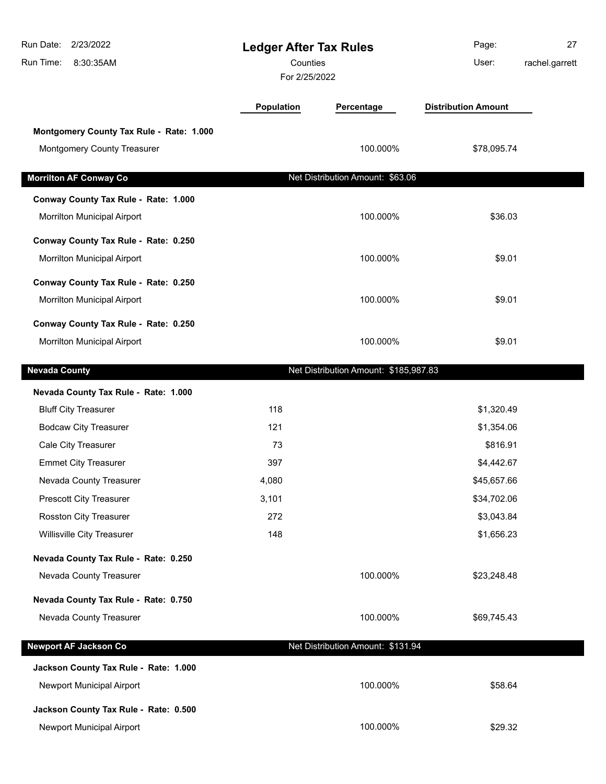| Run Date:<br>2/23/2022<br>Run Time:<br>8:30:35AM | <b>Ledger After Tax Rules</b><br>Counties<br>For 2/25/2022 |                                       | Page:<br>User:             | 27<br>rachel.garrett |  |
|--------------------------------------------------|------------------------------------------------------------|---------------------------------------|----------------------------|----------------------|--|
|                                                  | Population                                                 | Percentage                            | <b>Distribution Amount</b> |                      |  |
| Montgomery County Tax Rule - Rate: 1.000         |                                                            |                                       |                            |                      |  |
| Montgomery County Treasurer                      |                                                            | 100.000%                              | \$78,095.74                |                      |  |
| <b>Morrilton AF Conway Co</b>                    |                                                            | Net Distribution Amount: \$63.06      |                            |                      |  |
| Conway County Tax Rule - Rate: 1.000             |                                                            |                                       |                            |                      |  |
| Morrilton Municipal Airport                      |                                                            | 100.000%                              | \$36.03                    |                      |  |
| Conway County Tax Rule - Rate: 0.250             |                                                            |                                       |                            |                      |  |
| Morrilton Municipal Airport                      |                                                            | 100.000%                              | \$9.01                     |                      |  |
| Conway County Tax Rule - Rate: 0.250             |                                                            |                                       |                            |                      |  |
| Morrilton Municipal Airport                      |                                                            | 100.000%                              | \$9.01                     |                      |  |
| Conway County Tax Rule - Rate: 0.250             |                                                            |                                       |                            |                      |  |
| Morrilton Municipal Airport                      |                                                            | 100.000%                              | \$9.01                     |                      |  |
| <b>Nevada County</b>                             |                                                            | Net Distribution Amount: \$185,987.83 |                            |                      |  |
| Nevada County Tax Rule - Rate: 1.000             |                                                            |                                       |                            |                      |  |
| <b>Bluff City Treasurer</b>                      | 118                                                        |                                       | \$1,320.49                 |                      |  |
| <b>Bodcaw City Treasurer</b>                     | 121                                                        |                                       | \$1,354.06                 |                      |  |
| Cale City Treasurer                              | 73                                                         |                                       | \$816.91                   |                      |  |
| <b>Emmet City Treasurer</b>                      | 397                                                        |                                       | \$4,442.67                 |                      |  |
| Nevada County Treasurer                          | 4,080                                                      |                                       | \$45,657.66                |                      |  |
| <b>Prescott City Treasurer</b>                   | 3,101                                                      |                                       | \$34,702.06                |                      |  |
| Rosston City Treasurer                           | 272                                                        |                                       | \$3,043.84                 |                      |  |
| Willisville City Treasurer                       | 148                                                        |                                       | \$1,656.23                 |                      |  |
| Nevada County Tax Rule - Rate: 0.250             |                                                            |                                       |                            |                      |  |
| Nevada County Treasurer                          |                                                            | 100.000%                              | \$23,248.48                |                      |  |
| Nevada County Tax Rule - Rate: 0.750             |                                                            |                                       |                            |                      |  |
| Nevada County Treasurer                          |                                                            | 100.000%                              | \$69,745.43                |                      |  |
| <b>Newport AF Jackson Co</b>                     |                                                            | Net Distribution Amount: \$131.94     |                            |                      |  |
| Jackson County Tax Rule - Rate: 1.000            |                                                            |                                       |                            |                      |  |
| Newport Municipal Airport                        |                                                            | 100.000%                              | \$58.64                    |                      |  |
| Jackson County Tax Rule - Rate: 0.500            |                                                            |                                       |                            |                      |  |
| Newport Municipal Airport                        |                                                            | 100.000%                              | \$29.32                    |                      |  |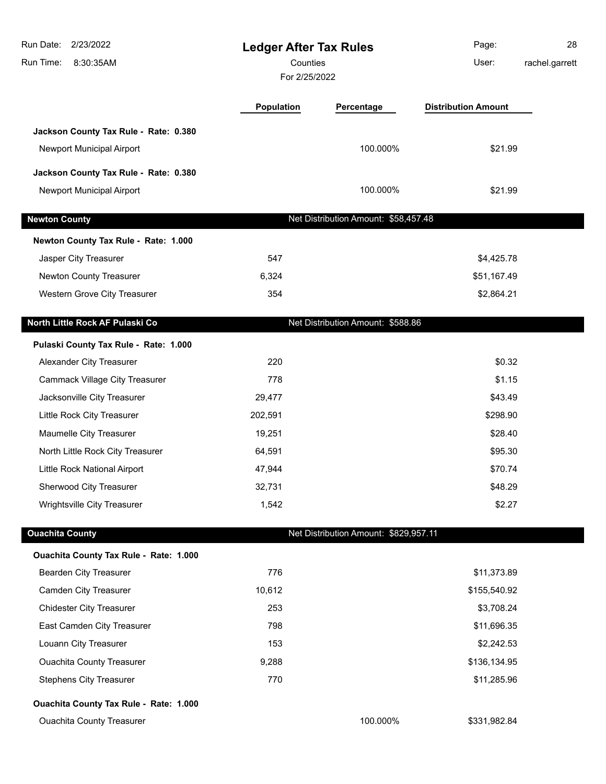| Run Date:<br>2/23/2022<br>Run Time:<br>8:30:35AM | <b>Ledger After Tax Rules</b><br>Counties<br>For 2/25/2022 |                                       | Page:<br>User:             | 28<br>rachel.garrett |
|--------------------------------------------------|------------------------------------------------------------|---------------------------------------|----------------------------|----------------------|
|                                                  | Population                                                 | Percentage                            | <b>Distribution Amount</b> |                      |
| Jackson County Tax Rule - Rate: 0.380            |                                                            |                                       |                            |                      |
| Newport Municipal Airport                        |                                                            | 100.000%                              | \$21.99                    |                      |
| Jackson County Tax Rule - Rate: 0.380            |                                                            |                                       |                            |                      |
| Newport Municipal Airport                        |                                                            | 100.000%                              | \$21.99                    |                      |
| <b>Newton County</b>                             |                                                            | Net Distribution Amount: \$58,457.48  |                            |                      |
| Newton County Tax Rule - Rate: 1.000             |                                                            |                                       |                            |                      |
| Jasper City Treasurer                            | 547                                                        |                                       | \$4,425.78                 |                      |
| Newton County Treasurer                          | 6,324                                                      |                                       | \$51,167.49                |                      |
| Western Grove City Treasurer                     | 354                                                        |                                       | \$2,864.21                 |                      |
| North Little Rock AF Pulaski Co                  |                                                            | Net Distribution Amount: \$588.86     |                            |                      |
| Pulaski County Tax Rule - Rate: 1.000            |                                                            |                                       |                            |                      |
| Alexander City Treasurer                         | 220                                                        |                                       | \$0.32                     |                      |
| <b>Cammack Village City Treasurer</b>            | 778                                                        |                                       | \$1.15                     |                      |
| Jacksonville City Treasurer                      | 29,477                                                     |                                       | \$43.49                    |                      |
| Little Rock City Treasurer                       | 202,591                                                    |                                       | \$298.90                   |                      |
| Maumelle City Treasurer                          | 19,251                                                     |                                       | \$28.40                    |                      |
| North Little Rock City Treasurer                 | 64,591                                                     |                                       | \$95.30                    |                      |
| Little Rock National Airport                     | 47,944                                                     |                                       | \$70.74                    |                      |
| Sherwood City Treasurer                          | 32,731                                                     |                                       | \$48.29                    |                      |
| Wrightsville City Treasurer                      | 1,542                                                      |                                       | \$2.27                     |                      |
| <b>Ouachita County</b>                           |                                                            | Net Distribution Amount: \$829,957.11 |                            |                      |
| Ouachita County Tax Rule - Rate: 1.000           |                                                            |                                       |                            |                      |
| <b>Bearden City Treasurer</b>                    | 776                                                        |                                       | \$11,373.89                |                      |
| <b>Camden City Treasurer</b>                     | 10,612                                                     |                                       | \$155,540.92               |                      |
| <b>Chidester City Treasurer</b>                  | 253                                                        |                                       | \$3,708.24                 |                      |
| East Camden City Treasurer                       | 798                                                        |                                       | \$11,696.35                |                      |
| Louann City Treasurer                            | 153                                                        |                                       | \$2,242.53                 |                      |
| <b>Ouachita County Treasurer</b>                 | 9,288                                                      |                                       | \$136,134.95               |                      |
| <b>Stephens City Treasurer</b>                   | 770                                                        |                                       | \$11,285.96                |                      |
| Ouachita County Tax Rule - Rate: 1.000           |                                                            |                                       |                            |                      |
| <b>Ouachita County Treasurer</b>                 |                                                            | 100.000%                              | \$331,982.84               |                      |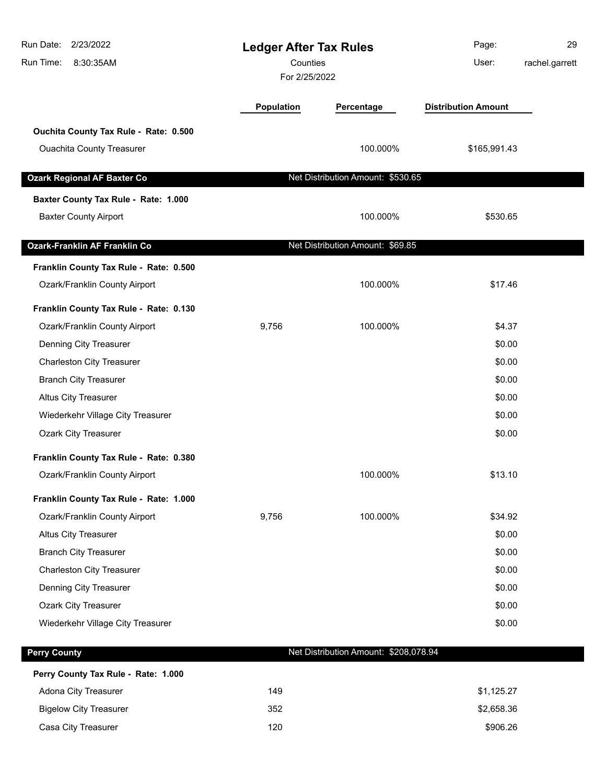| Run Date:<br>2/23/2022<br>Run Time:<br>8:30:35AM |            | <b>Ledger After Tax Rules</b><br>Counties<br>For 2/25/2022 |                            | 29<br>rachel.garrett |
|--------------------------------------------------|------------|------------------------------------------------------------|----------------------------|----------------------|
|                                                  | Population | Percentage                                                 | <b>Distribution Amount</b> |                      |
| Ouchita County Tax Rule - Rate: 0.500            |            |                                                            |                            |                      |
| <b>Ouachita County Treasurer</b>                 |            | 100.000%                                                   | \$165,991.43               |                      |
| <b>Ozark Regional AF Baxter Co</b>               |            | Net Distribution Amount: \$530.65                          |                            |                      |
| Baxter County Tax Rule - Rate: 1.000             |            |                                                            |                            |                      |
| <b>Baxter County Airport</b>                     |            | 100.000%                                                   | \$530.65                   |                      |
| <b>Ozark-Franklin AF Franklin Co</b>             |            | Net Distribution Amount: \$69.85                           |                            |                      |
| Franklin County Tax Rule - Rate: 0.500           |            |                                                            |                            |                      |
| Ozark/Franklin County Airport                    |            | 100.000%                                                   | \$17.46                    |                      |
| Franklin County Tax Rule - Rate: 0.130           |            |                                                            |                            |                      |
| Ozark/Franklin County Airport                    | 9,756      | 100.000%                                                   | \$4.37                     |                      |
| Denning City Treasurer                           |            |                                                            | \$0.00                     |                      |
| <b>Charleston City Treasurer</b>                 |            |                                                            | \$0.00                     |                      |
| <b>Branch City Treasurer</b>                     |            |                                                            | \$0.00                     |                      |
| <b>Altus City Treasurer</b>                      |            |                                                            | \$0.00                     |                      |
| Wiederkehr Village City Treasurer                |            |                                                            | \$0.00                     |                      |
| Ozark City Treasurer                             |            |                                                            | \$0.00                     |                      |
| Franklin County Tax Rule - Rate: 0.380           |            |                                                            |                            |                      |
| Ozark/Franklin County Airport                    |            | 100.000%                                                   | \$13.10                    |                      |
| Franklin County Tax Rule - Rate: 1.000           |            |                                                            |                            |                      |
| Ozark/Franklin County Airport                    | 9,756      | 100.000%                                                   | \$34.92                    |                      |
| <b>Altus City Treasurer</b>                      |            |                                                            | \$0.00                     |                      |
| <b>Branch City Treasurer</b>                     |            |                                                            | \$0.00                     |                      |
| <b>Charleston City Treasurer</b>                 |            |                                                            | \$0.00                     |                      |
| Denning City Treasurer                           |            |                                                            | \$0.00                     |                      |
| <b>Ozark City Treasurer</b>                      |            |                                                            | \$0.00                     |                      |
| Wiederkehr Village City Treasurer                |            |                                                            | \$0.00                     |                      |
| <b>Perry County</b>                              |            | Net Distribution Amount: \$208,078.94                      |                            |                      |
| Perry County Tax Rule - Rate: 1.000              |            |                                                            |                            |                      |
| Adona City Treasurer                             | 149        |                                                            | \$1,125.27                 |                      |
| <b>Bigelow City Treasurer</b>                    | 352        |                                                            | \$2,658.36                 |                      |
| Casa City Treasurer                              | 120        |                                                            | \$906.26                   |                      |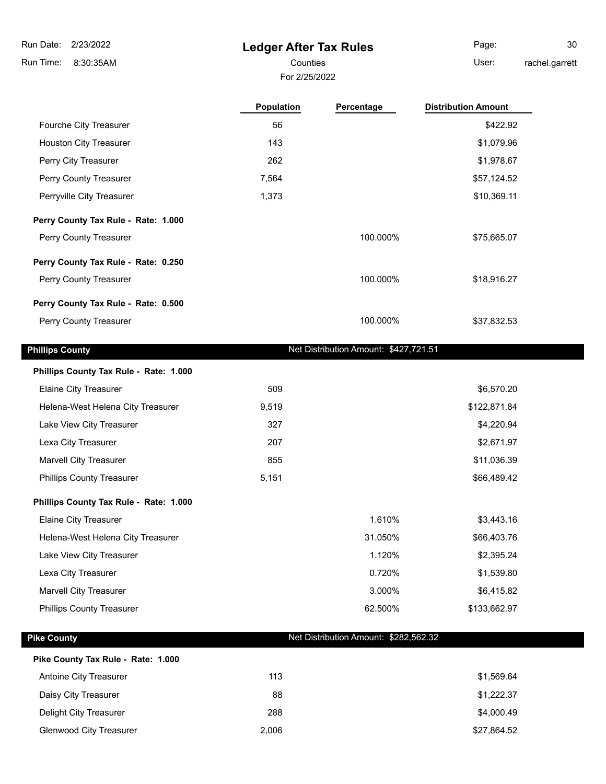$\overline{\phantom{a}}$ 

### **Ledger After Tax Rules**

For 2/25/2022

Page: 30

Counties **User:** 

rachel.garrett

|                                        | <b>Population</b> | Percentage                            | <b>Distribution Amount</b> |
|----------------------------------------|-------------------|---------------------------------------|----------------------------|
| Fourche City Treasurer                 | 56                |                                       | \$422.92                   |
| <b>Houston City Treasurer</b>          | 143               |                                       | \$1,079.96                 |
| Perry City Treasurer                   | 262               |                                       | \$1,978.67                 |
| Perry County Treasurer                 | 7,564             |                                       | \$57,124.52                |
| Perryville City Treasurer              | 1,373             |                                       | \$10,369.11                |
| Perry County Tax Rule - Rate: 1.000    |                   |                                       |                            |
| Perry County Treasurer                 |                   | 100.000%                              | \$75,665.07                |
| Perry County Tax Rule - Rate: 0.250    |                   |                                       |                            |
| Perry County Treasurer                 |                   | 100.000%                              | \$18,916.27                |
| Perry County Tax Rule - Rate: 0.500    |                   |                                       |                            |
| Perry County Treasurer                 |                   | 100.000%                              | \$37,832.53                |
| <b>Phillips County</b>                 |                   | Net Distribution Amount: \$427,721.51 |                            |
| Phillips County Tax Rule - Rate: 1.000 |                   |                                       |                            |
| <b>Elaine City Treasurer</b>           | 509               |                                       | \$6,570.20                 |
| Helena-West Helena City Treasurer      | 9,519             |                                       | \$122,871.84               |
| Lake View City Treasurer               | 327               |                                       | \$4,220.94                 |
| Lexa City Treasurer                    | 207               |                                       | \$2,671.97                 |
| <b>Marvell City Treasurer</b>          | 855               |                                       | \$11,036.39                |
| <b>Phillips County Treasurer</b>       | 5,151             |                                       | \$66,489.42                |
| Phillips County Tax Rule - Rate: 1.000 |                   |                                       |                            |
| <b>Elaine City Treasurer</b>           |                   | 1.610%                                | \$3,443.16                 |
| Helena-West Helena City Treasurer      |                   | 31.050%                               | \$66,403.76                |
| Lake View City Treasurer               |                   | 1.120%                                | \$2,395.24                 |
| Lexa City Treasurer                    |                   | 0.720%                                | \$1,539.80                 |
| Marvell City Treasurer                 |                   | 3.000%                                | \$6,415.82                 |
| <b>Phillips County Treasurer</b>       |                   | 62.500%                               | \$133,662.97               |
| <b>Pike County</b>                     |                   | Net Distribution Amount: \$282,562.32 |                            |
| Pike County Tax Rule - Rate: 1.000     |                   |                                       |                            |
| Antoine City Treasurer                 | 113               |                                       | \$1,569.64                 |
| Daisy City Treasurer                   | 88                |                                       | \$1,222.37                 |
| Delight City Treasurer                 | 288               |                                       | \$4,000.49                 |

Glenwood City Treasurer 2,006 \$27,864.52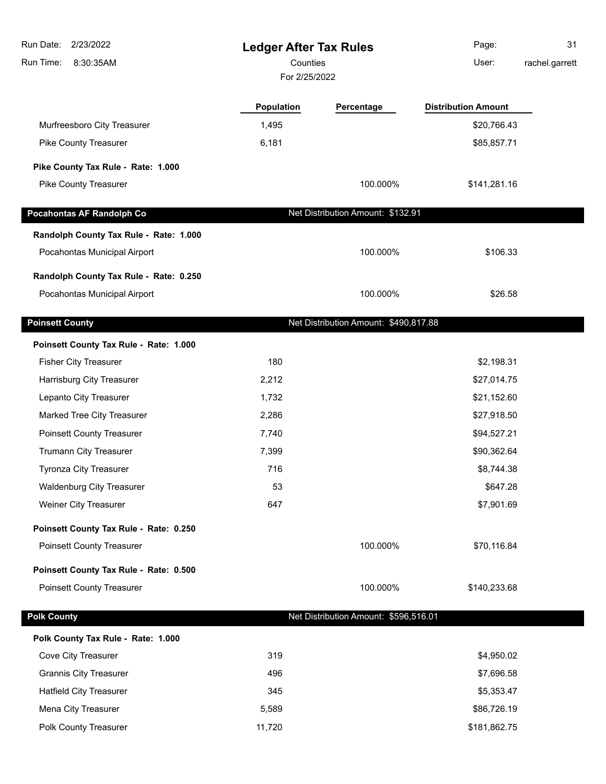| 2/23/2022<br>Run Date:                                                 | <b>Ledger After Tax Rules</b> |                                       | Page:                      | 31             |
|------------------------------------------------------------------------|-------------------------------|---------------------------------------|----------------------------|----------------|
| Run Time:<br>8:30:35AM                                                 | Counties                      |                                       | User:                      | rachel.garrett |
|                                                                        | For 2/25/2022                 |                                       |                            |                |
|                                                                        | Population                    | Percentage                            | <b>Distribution Amount</b> |                |
| Murfreesboro City Treasurer                                            | 1,495                         |                                       | \$20,766.43                |                |
| Pike County Treasurer                                                  | 6,181                         |                                       | \$85,857.71                |                |
| Pike County Tax Rule - Rate: 1.000                                     |                               |                                       |                            |                |
| Pike County Treasurer                                                  |                               | 100.000%                              | \$141,281.16               |                |
| <b>Pocahontas AF Randolph Co</b>                                       |                               | Net Distribution Amount: \$132.91     |                            |                |
|                                                                        |                               |                                       |                            |                |
| Randolph County Tax Rule - Rate: 1.000<br>Pocahontas Municipal Airport |                               | 100.000%                              | \$106.33                   |                |
|                                                                        |                               |                                       |                            |                |
| Randolph County Tax Rule - Rate: 0.250                                 |                               |                                       |                            |                |
| Pocahontas Municipal Airport                                           |                               | 100.000%                              | \$26.58                    |                |
| <b>Poinsett County</b>                                                 |                               | Net Distribution Amount: \$490,817.88 |                            |                |
| Poinsett County Tax Rule - Rate: 1.000                                 |                               |                                       |                            |                |
| <b>Fisher City Treasurer</b>                                           | 180                           |                                       | \$2,198.31                 |                |
| Harrisburg City Treasurer                                              | 2,212                         |                                       | \$27,014.75                |                |
| Lepanto City Treasurer                                                 | 1,732                         |                                       | \$21,152.60                |                |
| Marked Tree City Treasurer                                             | 2,286                         |                                       | \$27,918.50                |                |
| <b>Poinsett County Treasurer</b>                                       | 7,740                         |                                       | \$94,527.21                |                |
| Trumann City Treasurer                                                 | 7,399                         |                                       | \$90,362.64                |                |
| Tyronza City Treasurer                                                 | 716                           |                                       | \$8,744.38                 |                |
| <b>Waldenburg City Treasurer</b>                                       | 53                            |                                       | \$647.28                   |                |
| Weiner City Treasurer                                                  | 647                           |                                       | \$7,901.69                 |                |
| Poinsett County Tax Rule - Rate: 0.250                                 |                               |                                       |                            |                |
| <b>Poinsett County Treasurer</b>                                       |                               | 100.000%                              | \$70,116.84                |                |
| Poinsett County Tax Rule - Rate: 0.500                                 |                               |                                       |                            |                |
| <b>Poinsett County Treasurer</b>                                       |                               | 100.000%                              | \$140,233.68               |                |
| <b>Polk County</b>                                                     |                               | Net Distribution Amount: \$596,516.01 |                            |                |
| Polk County Tax Rule - Rate: 1.000                                     |                               |                                       |                            |                |
| Cove City Treasurer                                                    | 319                           |                                       | \$4,950.02                 |                |
| <b>Grannis City Treasurer</b>                                          | 496                           |                                       | \$7,696.58                 |                |
| <b>Hatfield City Treasurer</b>                                         | 345                           |                                       | \$5,353.47                 |                |
| Mena City Treasurer                                                    | 5,589                         |                                       | \$86,726.19                |                |
| Polk County Treasurer                                                  | 11,720                        |                                       | \$181,862.75               |                |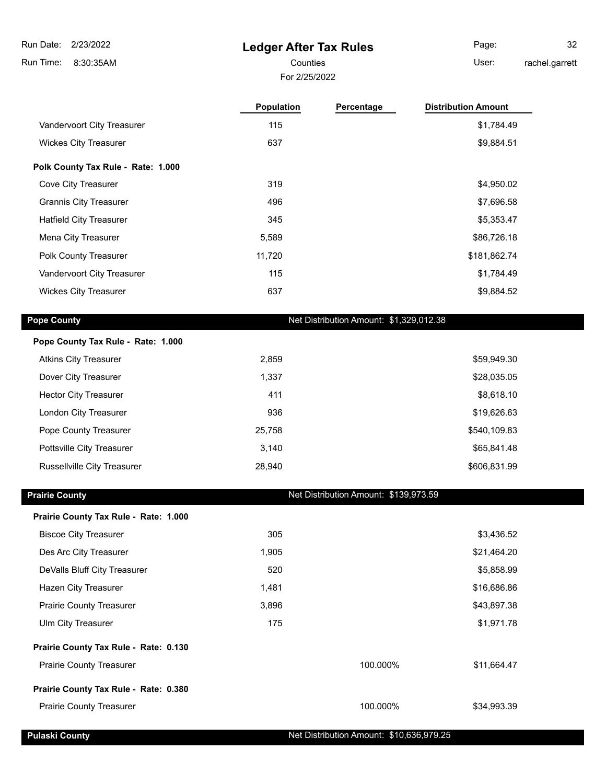**Ledger After Tax Rules**

8:30:35AM Run Time:

#### For 2/25/2022 Counties **User:**

Page: 32 chel.garrett

| rachel.garre |  |  |
|--------------|--|--|
|              |  |  |

|                                       | Population | Percentage                              | <b>Distribution Amount</b> |
|---------------------------------------|------------|-----------------------------------------|----------------------------|
| Vandervoort City Treasurer            | 115        |                                         | \$1,784.49                 |
| <b>Wickes City Treasurer</b>          | 637        |                                         | \$9,884.51                 |
| Polk County Tax Rule - Rate: 1.000    |            |                                         |                            |
| Cove City Treasurer                   | 319        |                                         | \$4,950.02                 |
| <b>Grannis City Treasurer</b>         | 496        |                                         | \$7,696.58                 |
| <b>Hatfield City Treasurer</b>        | 345        |                                         | \$5,353.47                 |
| Mena City Treasurer                   | 5,589      |                                         | \$86,726.18                |
| Polk County Treasurer                 | 11,720     |                                         | \$181,862.74               |
| Vandervoort City Treasurer            | 115        |                                         | \$1,784.49                 |
| <b>Wickes City Treasurer</b>          | 637        |                                         | \$9,884.52                 |
| <b>Pope County</b>                    |            | Net Distribution Amount: \$1,329,012.38 |                            |
| Pope County Tax Rule - Rate: 1.000    |            |                                         |                            |
| <b>Atkins City Treasurer</b>          | 2,859      |                                         | \$59,949.30                |
| Dover City Treasurer                  | 1,337      |                                         | \$28,035.05                |
| <b>Hector City Treasurer</b>          | 411        |                                         | \$8,618.10                 |
| London City Treasurer                 | 936        |                                         | \$19,626.63                |
| Pope County Treasurer                 | 25,758     |                                         | \$540,109.83               |
| Pottsville City Treasurer             | 3,140      |                                         | \$65,841.48                |
| Russellville City Treasurer           | 28,940     |                                         | \$606,831.99               |
| <b>Prairie County</b>                 |            | Net Distribution Amount: \$139,973.59   |                            |
| Prairie County Tax Rule - Rate: 1.000 |            |                                         |                            |
| <b>Biscoe City Treasurer</b>          | 305        |                                         | \$3,436.52                 |
| Des Arc City Treasurer                | 1,905      |                                         | \$21,464.20                |
| DeValls Bluff City Treasurer          | 520        |                                         | \$5,858.99                 |
| Hazen City Treasurer                  | 1,481      |                                         | \$16,686.86                |
| <b>Prairie County Treasurer</b>       | 3,896      |                                         | \$43,897.38                |
| Ulm City Treasurer                    | 175        |                                         | \$1,971.78                 |
| Prairie County Tax Rule - Rate: 0.130 |            |                                         |                            |
| <b>Prairie County Treasurer</b>       |            | 100.000%                                | \$11,664.47                |
| Prairie County Tax Rule - Rate: 0.380 |            |                                         |                            |
| Prairie County Treasurer              |            | 100.000%                                | \$34,993.39                |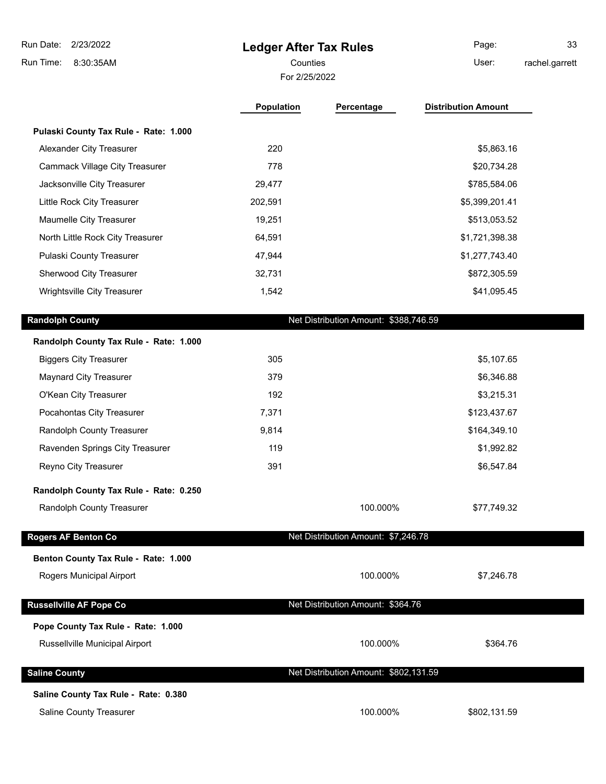| Run Date:<br>2/23/2022                 | <b>Ledger After Tax Rules</b> |                                       | Page:                      | 33             |
|----------------------------------------|-------------------------------|---------------------------------------|----------------------------|----------------|
| Run Time:<br>8:30:35AM                 | Counties                      |                                       | User:                      | rachel.garrett |
|                                        | For 2/25/2022                 |                                       |                            |                |
|                                        | <b>Population</b>             | Percentage                            | <b>Distribution Amount</b> |                |
| Pulaski County Tax Rule - Rate: 1.000  |                               |                                       |                            |                |
| Alexander City Treasurer               | 220                           |                                       | \$5,863.16                 |                |
| <b>Cammack Village City Treasurer</b>  | 778                           |                                       | \$20,734.28                |                |
| Jacksonville City Treasurer            | 29,477                        |                                       | \$785,584.06               |                |
| Little Rock City Treasurer             | 202,591                       |                                       | \$5,399,201.41             |                |
| Maumelle City Treasurer                | 19,251                        |                                       | \$513,053.52               |                |
| North Little Rock City Treasurer       | 64,591                        |                                       | \$1,721,398.38             |                |
| Pulaski County Treasurer               | 47,944                        |                                       | \$1,277,743.40             |                |
| Sherwood City Treasurer                | 32,731                        |                                       | \$872,305.59               |                |
| Wrightsville City Treasurer            | 1,542                         |                                       | \$41,095.45                |                |
| <b>Randolph County</b>                 |                               | Net Distribution Amount: \$388,746.59 |                            |                |
| Randolph County Tax Rule - Rate: 1.000 |                               |                                       |                            |                |
| <b>Biggers City Treasurer</b>          | 305                           |                                       | \$5,107.65                 |                |
| <b>Maynard City Treasurer</b>          | 379                           |                                       | \$6,346.88                 |                |
| O'Kean City Treasurer                  | 192                           |                                       | \$3,215.31                 |                |
| Pocahontas City Treasurer              | 7,371                         |                                       | \$123,437.67               |                |

Randolph County Treasurer 6. 1990 10 3,814 \$164,349.10 Ravenden Springs City Treasurer 119 **119** \$1,992.82 Reyno City Treasurer **391 391** \$6,547.84

**Randolph County Tax Rule - Rate: 0.250** Randolph County Treasurer 100.000% \$77,749.32 **Rogers AF Benton Co Net Distribution Amount: \$7,246.78 Benton County Tax Rule - Rate: 1.000** Rogers Municipal Airport **100.000%** \$7,246.78 **Russellville AF Pope Co** Net Distribution Amount: \$364.76 **Pope County Tax Rule - Rate: 1.000** Russellville Municipal Airport **100.000%** \$364.76 **Saline County Net Distribution Amount: \$802,131.59 Saline County Tax Rule - Rate: 0.380**

Saline County Treasurer 100.000% \$802,131.59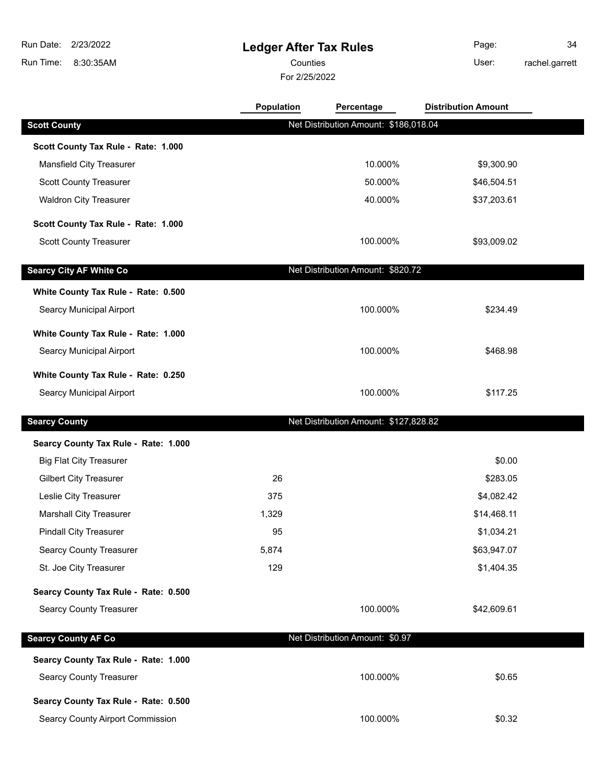## **Ledger After Tax Rules**

Counties User:

For 2/25/2022

Page: 34 rachel.garrett

|                                      | Population | Percentage                            | <b>Distribution Amount</b> |  |
|--------------------------------------|------------|---------------------------------------|----------------------------|--|
| <b>Scott County</b>                  |            | Net Distribution Amount: \$186,018.04 |                            |  |
| Scott County Tax Rule - Rate: 1.000  |            |                                       |                            |  |
| Mansfield City Treasurer             |            | 10.000%                               | \$9,300.90                 |  |
| <b>Scott County Treasurer</b>        |            | 50.000%                               | \$46,504.51                |  |
| <b>Waldron City Treasurer</b>        |            | 40.000%                               | \$37,203.61                |  |
| Scott County Tax Rule - Rate: 1.000  |            |                                       |                            |  |
| <b>Scott County Treasurer</b>        |            | 100.000%                              | \$93,009.02                |  |
| <b>Searcy City AF White Co</b>       |            | Net Distribution Amount: \$820.72     |                            |  |
| White County Tax Rule - Rate: 0.500  |            |                                       |                            |  |
| Searcy Municipal Airport             |            | 100.000%                              | \$234.49                   |  |
| White County Tax Rule - Rate: 1.000  |            |                                       |                            |  |
| Searcy Municipal Airport             |            | 100.000%                              | \$468.98                   |  |
| White County Tax Rule - Rate: 0.250  |            |                                       |                            |  |
| Searcy Municipal Airport             |            | 100.000%                              | \$117.25                   |  |
| <b>Searcy County</b>                 |            | Net Distribution Amount: \$127,828.82 |                            |  |
| Searcy County Tax Rule - Rate: 1.000 |            |                                       |                            |  |
| <b>Big Flat City Treasurer</b>       |            |                                       | \$0.00                     |  |
| <b>Gilbert City Treasurer</b>        | 26         |                                       | \$283.05                   |  |
| Leslie City Treasurer                | 375        |                                       | \$4,082.42                 |  |
| <b>Marshall City Treasurer</b>       | 1,329      |                                       | \$14,468.11                |  |
| <b>Pindall City Treasurer</b>        | 95         |                                       | \$1,034.21                 |  |
| <b>Searcy County Treasurer</b>       | 5,874      |                                       | \$63,947.07                |  |
| St. Joe City Treasurer               | 129        |                                       | \$1,404.35                 |  |
| Searcy County Tax Rule - Rate: 0.500 |            |                                       |                            |  |
| <b>Searcy County Treasurer</b>       |            | 100.000%                              | \$42,609.61                |  |
| <b>Searcy County AF Co</b>           |            | Net Distribution Amount: \$0.97       |                            |  |
| Searcy County Tax Rule - Rate: 1.000 |            |                                       |                            |  |
| <b>Searcy County Treasurer</b>       |            | 100.000%                              | \$0.65                     |  |
| Searcy County Tax Rule - Rate: 0.500 |            |                                       |                            |  |
| Searcy County Airport Commission     |            | 100.000%                              | \$0.32                     |  |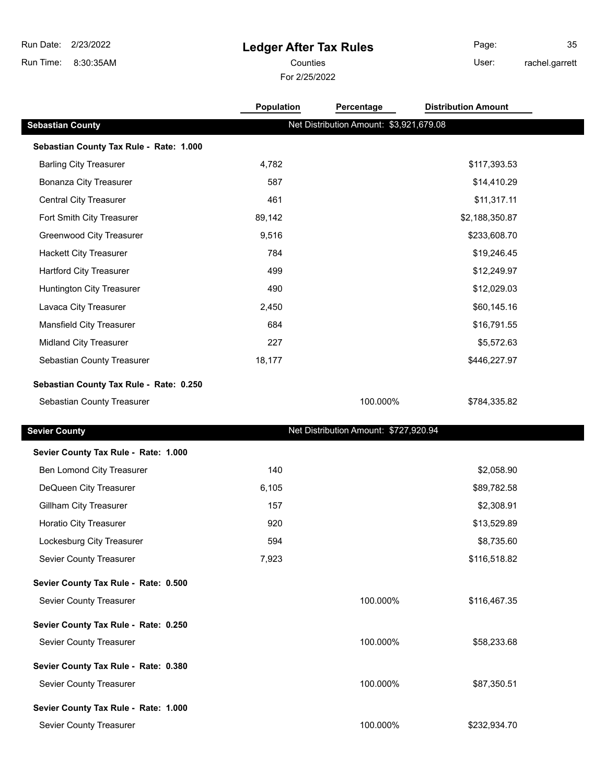## **Ledger After Tax Rules**

For 2/25/2022

Counties **Counties** User:

Page: 35 rachel.garrett

|                                         | Population | Percentage                              | <b>Distribution Amount</b> |
|-----------------------------------------|------------|-----------------------------------------|----------------------------|
| <b>Sebastian County</b>                 |            | Net Distribution Amount: \$3,921,679.08 |                            |
| Sebastian County Tax Rule - Rate: 1.000 |            |                                         |                            |
| <b>Barling City Treasurer</b>           | 4,782      |                                         | \$117,393.53               |
| <b>Bonanza City Treasurer</b>           | 587        |                                         | \$14,410.29                |
| <b>Central City Treasurer</b>           | 461        |                                         | \$11,317.11                |
| Fort Smith City Treasurer               | 89,142     |                                         | \$2,188,350.87             |
| <b>Greenwood City Treasurer</b>         | 9,516      |                                         | \$233,608.70               |
| <b>Hackett City Treasurer</b>           | 784        |                                         | \$19,246.45                |
| <b>Hartford City Treasurer</b>          | 499        |                                         | \$12,249.97                |
| Huntington City Treasurer               | 490        |                                         | \$12,029.03                |
| Lavaca City Treasurer                   | 2,450      |                                         | \$60,145.16                |
| Mansfield City Treasurer                | 684        |                                         | \$16,791.55                |
| Midland City Treasurer                  | 227        |                                         | \$5,572.63                 |
| Sebastian County Treasurer              | 18,177     |                                         | \$446,227.97               |
| Sebastian County Tax Rule - Rate: 0.250 |            |                                         |                            |
| Sebastian County Treasurer              |            | 100.000%                                | \$784,335.82               |
|                                         |            |                                         |                            |
| <b>Sevier County</b>                    |            | Net Distribution Amount: \$727,920.94   |                            |
| Sevier County Tax Rule - Rate: 1.000    |            |                                         |                            |
| Ben Lomond City Treasurer               | 140        |                                         | \$2,058.90                 |
| DeQueen City Treasurer                  | 6,105      |                                         | \$89,782.58                |
| Gillham City Treasurer                  | 157        |                                         | \$2,308.91                 |
| Horatio City Treasurer                  | 920        |                                         | \$13,529.89                |
| Lockesburg City Treasurer               | 594        |                                         | \$8,735.60                 |
| Sevier County Treasurer                 | 7,923      |                                         | \$116,518.82               |
| Sevier County Tax Rule - Rate: 0.500    |            |                                         |                            |
| Sevier County Treasurer                 |            | 100.000%                                | \$116,467.35               |
| Sevier County Tax Rule - Rate: 0.250    |            |                                         |                            |
| Sevier County Treasurer                 |            | 100.000%                                | \$58,233.68                |
| Sevier County Tax Rule - Rate: 0.380    |            |                                         |                            |
| Sevier County Treasurer                 |            | 100.000%                                | \$87,350.51                |
| Sevier County Tax Rule - Rate: 1.000    |            |                                         |                            |
| Sevier County Treasurer                 |            | 100.000%                                | \$232,934.70               |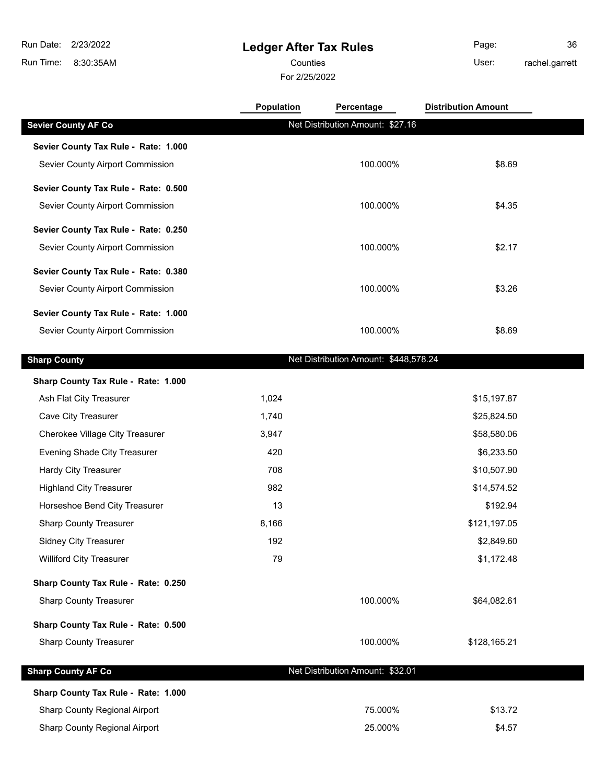### **Ledger After Tax Rules**

Counties **User:** 

For 2/25/2022

Page: 36 rachel.garrett

|                                      | Population | Percentage                            | <b>Distribution Amount</b> |  |
|--------------------------------------|------------|---------------------------------------|----------------------------|--|
| <b>Sevier County AF Co</b>           |            | Net Distribution Amount: \$27.16      |                            |  |
| Sevier County Tax Rule - Rate: 1.000 |            |                                       |                            |  |
| Sevier County Airport Commission     |            | 100.000%                              | \$8.69                     |  |
| Sevier County Tax Rule - Rate: 0.500 |            |                                       |                            |  |
| Sevier County Airport Commission     |            | 100.000%                              | \$4.35                     |  |
| Sevier County Tax Rule - Rate: 0.250 |            |                                       |                            |  |
| Sevier County Airport Commission     |            | 100.000%                              | \$2.17                     |  |
| Sevier County Tax Rule - Rate: 0.380 |            |                                       |                            |  |
| Sevier County Airport Commission     |            | 100.000%                              | \$3.26                     |  |
| Sevier County Tax Rule - Rate: 1.000 |            |                                       |                            |  |
| Sevier County Airport Commission     |            | 100.000%                              | \$8.69                     |  |
| <b>Sharp County</b>                  |            | Net Distribution Amount: \$448,578.24 |                            |  |
| Sharp County Tax Rule - Rate: 1.000  |            |                                       |                            |  |
| Ash Flat City Treasurer              | 1,024      |                                       | \$15,197.87                |  |
| Cave City Treasurer                  | 1,740      |                                       | \$25,824.50                |  |
| Cherokee Village City Treasurer      | 3,947      |                                       | \$58,580.06                |  |
| <b>Evening Shade City Treasurer</b>  | 420        |                                       | \$6,233.50                 |  |
| <b>Hardy City Treasurer</b>          | 708        |                                       | \$10,507.90                |  |
| <b>Highland City Treasurer</b>       | 982        |                                       | \$14,574.52                |  |
| Horseshoe Bend City Treasurer        | 13         |                                       | \$192.94                   |  |
| <b>Sharp County Treasurer</b>        | 8,166      |                                       | \$121,197.05               |  |
| Sidney City Treasurer                | 192        |                                       | \$2,849.60                 |  |
| <b>Williford City Treasurer</b>      | 79         |                                       | \$1,172.48                 |  |
| Sharp County Tax Rule - Rate: 0.250  |            |                                       |                            |  |
| <b>Sharp County Treasurer</b>        |            | 100.000%                              | \$64,082.61                |  |
| Sharp County Tax Rule - Rate: 0.500  |            |                                       |                            |  |
| <b>Sharp County Treasurer</b>        |            | 100.000%                              | \$128,165.21               |  |
| <b>Sharp County AF Co</b>            |            | Net Distribution Amount: \$32.01      |                            |  |
| Sharp County Tax Rule - Rate: 1.000  |            |                                       |                            |  |
| Sharp County Regional Airport        |            | 75.000%                               | \$13.72                    |  |
| Sharp County Regional Airport        |            | 25.000%                               | \$4.57                     |  |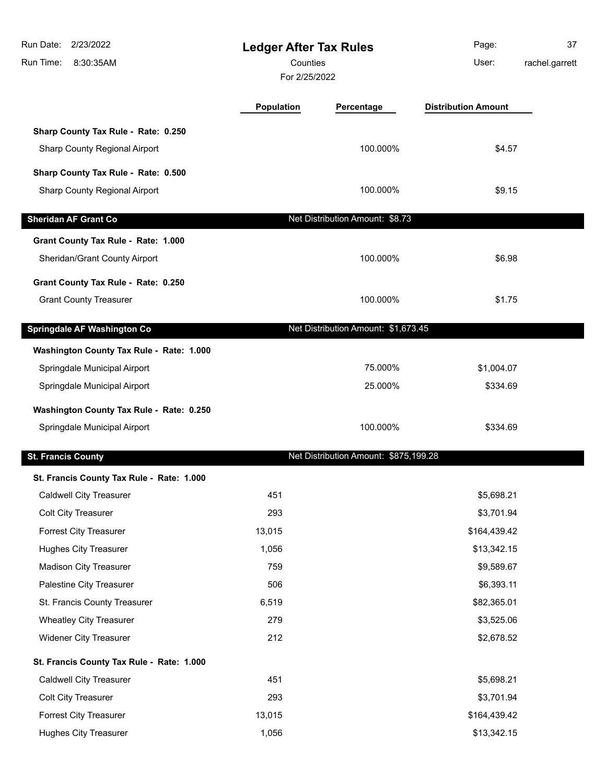| Run Date: 2/23/2022<br>8:30:35AM<br>Run Time: | <b>Ledger After Tax Rules</b><br>Counties<br>For 2/25/2022 |                                       | Page:<br>User:             | 37<br>rachel.garrett |
|-----------------------------------------------|------------------------------------------------------------|---------------------------------------|----------------------------|----------------------|
|                                               | Population                                                 | Percentage                            | <b>Distribution Amount</b> |                      |
| Sharp County Tax Rule - Rate: 0.250           |                                                            |                                       |                            |                      |
| Sharp County Regional Airport                 |                                                            | 100.000%                              | \$4.57                     |                      |
| Sharp County Tax Rule - Rate: 0.500           |                                                            |                                       |                            |                      |
| Sharp County Regional Airport                 |                                                            | 100.000%                              | \$9.15                     |                      |
| <b>Sheridan AF Grant Co</b>                   |                                                            | Net Distribution Amount: \$8.73       |                            |                      |
| Grant County Tax Rule - Rate: 1.000           |                                                            |                                       |                            |                      |
| Sheridan/Grant County Airport                 |                                                            | 100.000%                              | \$6.98                     |                      |
| Grant County Tax Rule - Rate: 0.250           |                                                            |                                       |                            |                      |
| <b>Grant County Treasurer</b>                 |                                                            | 100.000%                              | \$1.75                     |                      |
| Springdale AF Washington Co                   |                                                            | Net Distribution Amount: \$1,673.45   |                            |                      |
| Washington County Tax Rule - Rate: 1.000      |                                                            |                                       |                            |                      |
| Springdale Municipal Airport                  |                                                            | 75.000%                               | \$1,004.07                 |                      |
| Springdale Municipal Airport                  |                                                            | 25.000%                               | \$334.69                   |                      |
| Washington County Tax Rule - Rate: 0.250      |                                                            |                                       |                            |                      |
| Springdale Municipal Airport                  |                                                            | 100.000%                              | \$334.69                   |                      |
| <b>St. Francis County</b>                     |                                                            | Net Distribution Amount: \$875,199.28 |                            |                      |
| St. Francis County Tax Rule - Rate: 1.000     |                                                            |                                       |                            |                      |
| <b>Caldwell City Treasurer</b>                | 451                                                        |                                       | \$5,698.21                 |                      |
| Colt City Treasurer                           | 293                                                        |                                       | \$3,701.94                 |                      |
| Forrest City Treasurer                        | 13,015                                                     |                                       | \$164,439.42               |                      |
| <b>Hughes City Treasurer</b>                  | 1,056                                                      |                                       | \$13,342.15                |                      |
| <b>Madison City Treasurer</b>                 | 759                                                        |                                       | \$9,589.67                 |                      |
| Palestine City Treasurer                      | 506                                                        |                                       | \$6,393.11                 |                      |
| St. Francis County Treasurer                  | 6,519                                                      |                                       | \$82,365.01                |                      |
| <b>Wheatley City Treasurer</b>                | 279                                                        |                                       | \$3,525.06                 |                      |
| <b>Widener City Treasurer</b>                 | 212                                                        |                                       | \$2,678.52                 |                      |
| St. Francis County Tax Rule - Rate: 1.000     |                                                            |                                       |                            |                      |
| <b>Caldwell City Treasurer</b>                | 451                                                        |                                       | \$5,698.21                 |                      |
| Colt City Treasurer                           | 293                                                        |                                       | \$3,701.94                 |                      |
| Forrest City Treasurer                        | 13,015                                                     |                                       | \$164,439.42               |                      |
| <b>Hughes City Treasurer</b>                  | 1,056                                                      |                                       | \$13,342.15                |                      |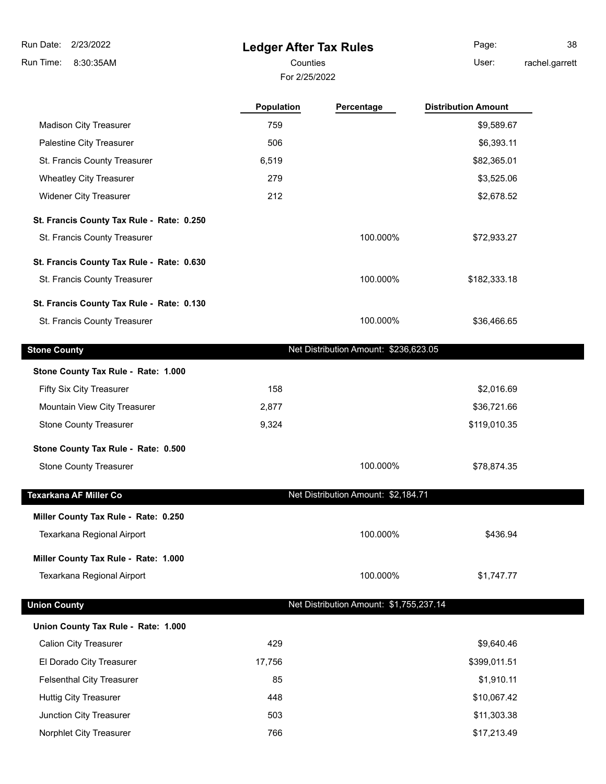# **Ledger After Tax Rules**

For 2/25/2022

Counties **User:** Page: 38 rachel.garrett

|                                           | <b>Population</b> | Percentage                              | <b>Distribution Amount</b> |  |
|-------------------------------------------|-------------------|-----------------------------------------|----------------------------|--|
| <b>Madison City Treasurer</b>             | 759               |                                         | \$9,589.67                 |  |
| Palestine City Treasurer                  | 506               |                                         | \$6,393.11                 |  |
| St. Francis County Treasurer              | 6,519             |                                         | \$82,365.01                |  |
| <b>Wheatley City Treasurer</b>            | 279               |                                         | \$3,525.06                 |  |
| <b>Widener City Treasurer</b>             | 212               |                                         | \$2,678.52                 |  |
| St. Francis County Tax Rule - Rate: 0.250 |                   |                                         |                            |  |
| St. Francis County Treasurer              |                   | 100.000%                                | \$72,933.27                |  |
| St. Francis County Tax Rule - Rate: 0.630 |                   |                                         |                            |  |
| St. Francis County Treasurer              |                   | 100.000%                                | \$182,333.18               |  |
| St. Francis County Tax Rule - Rate: 0.130 |                   |                                         |                            |  |
| St. Francis County Treasurer              |                   | 100.000%                                | \$36,466.65                |  |
| <b>Stone County</b>                       |                   | Net Distribution Amount: \$236,623.05   |                            |  |
| Stone County Tax Rule - Rate: 1.000       |                   |                                         |                            |  |
| Fifty Six City Treasurer                  | 158               |                                         | \$2,016.69                 |  |
| Mountain View City Treasurer              | 2,877             |                                         | \$36,721.66                |  |
| <b>Stone County Treasurer</b>             | 9,324             |                                         | \$119,010.35               |  |
| Stone County Tax Rule - Rate: 0.500       |                   |                                         |                            |  |
| <b>Stone County Treasurer</b>             |                   | 100.000%                                | \$78,874.35                |  |
| Texarkana AF Miller Co                    |                   | Net Distribution Amount: \$2,184.71     |                            |  |
| Miller County Tax Rule - Rate: 0.250      |                   |                                         |                            |  |
| Texarkana Regional Airport                |                   | 100.000%                                | \$436.94                   |  |
| Miller County Tax Rule - Rate: 1.000      |                   |                                         |                            |  |
| Texarkana Regional Airport                |                   | 100.000%                                | \$1,747.77                 |  |
| <b>Union County</b>                       |                   | Net Distribution Amount: \$1,755,237.14 |                            |  |
| Union County Tax Rule - Rate: 1.000       |                   |                                         |                            |  |
| <b>Calion City Treasurer</b>              | 429               |                                         | \$9,640.46                 |  |
| El Dorado City Treasurer                  | 17,756            |                                         | \$399,011.51               |  |
| <b>Felsenthal City Treasurer</b>          | 85                |                                         | \$1,910.11                 |  |
| <b>Huttig City Treasurer</b>              | 448               |                                         | \$10,067.42                |  |
| Junction City Treasurer                   | 503               |                                         | \$11,303.38                |  |
| Norphlet City Treasurer                   | 766               |                                         | \$17,213.49                |  |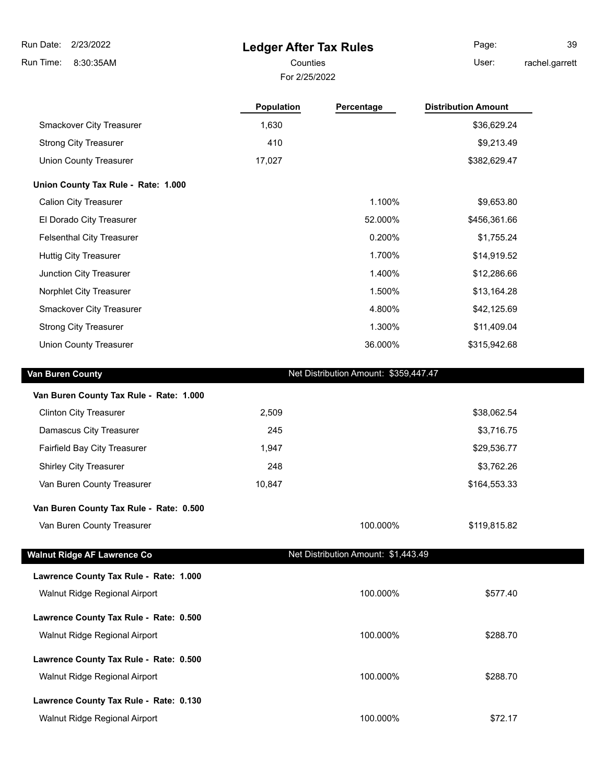8:30:35AM Run Time:

## **Ledger After Tax Rules**

For 2/25/2022

Page: 39

Counties **User:** 

rachel.garrett

|                                         | <b>Population</b> | Percentage                            | <b>Distribution Amount</b> |
|-----------------------------------------|-------------------|---------------------------------------|----------------------------|
| Smackover City Treasurer                | 1,630             |                                       | \$36,629.24                |
| <b>Strong City Treasurer</b>            | 410               |                                       | \$9,213.49                 |
| <b>Union County Treasurer</b>           | 17,027            |                                       | \$382,629.47               |
| Union County Tax Rule - Rate: 1.000     |                   |                                       |                            |
| <b>Calion City Treasurer</b>            |                   | 1.100%                                | \$9,653.80                 |
| El Dorado City Treasurer                |                   | 52.000%                               | \$456,361.66               |
| <b>Felsenthal City Treasurer</b>        |                   | 0.200%                                | \$1,755.24                 |
| <b>Huttig City Treasurer</b>            |                   | 1.700%                                | \$14,919.52                |
| Junction City Treasurer                 |                   | 1.400%                                | \$12,286.66                |
| Norphlet City Treasurer                 |                   | 1.500%                                | \$13,164.28                |
| Smackover City Treasurer                |                   | 4.800%                                | \$42,125.69                |
| <b>Strong City Treasurer</b>            |                   | 1.300%                                | \$11,409.04                |
| <b>Union County Treasurer</b>           |                   | 36.000%                               | \$315,942.68               |
| Van Buren County                        |                   | Net Distribution Amount: \$359,447.47 |                            |
|                                         |                   |                                       |                            |
| Van Buren County Tax Rule - Rate: 1.000 |                   |                                       |                            |
| <b>Clinton City Treasurer</b>           | 2,509             |                                       | \$38,062.54                |
| Damascus City Treasurer                 | 245               |                                       | \$3,716.75                 |
| Fairfield Bay City Treasurer            | 1,947             |                                       | \$29,536.77                |
| Shirley City Treasurer                  | 248               |                                       | \$3,762.26                 |
| Van Buren County Treasurer              | 10,847            |                                       | \$164,553.33               |
| Van Buren County Tax Rule - Rate: 0.500 |                   |                                       |                            |
| Van Buren County Treasurer              |                   | 100.000%                              | \$119,815.82               |
| <b>Walnut Ridge AF Lawrence Co</b>      |                   | Net Distribution Amount: \$1,443.49   |                            |
| Lawrence County Tax Rule - Rate: 1.000  |                   |                                       |                            |
| Walnut Ridge Regional Airport           |                   | 100.000%                              | \$577.40                   |
| Lawrence County Tax Rule - Rate: 0.500  |                   |                                       |                            |
| Walnut Ridge Regional Airport           |                   | 100.000%                              | \$288.70                   |
|                                         |                   |                                       |                            |
| Lawrence County Tax Rule - Rate: 0.500  |                   |                                       |                            |
| Walnut Ridge Regional Airport           |                   | 100.000%                              | \$288.70                   |
| Lawrence County Tax Rule - Rate: 0.130  |                   |                                       |                            |

Walnut Ridge Regional Airport **100.000%** \$72.17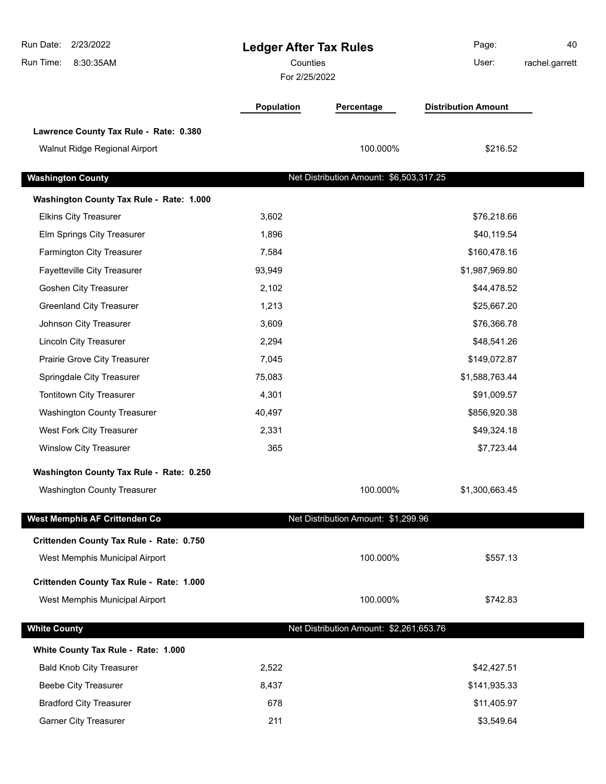| Run Date:<br>2/23/2022<br>Run Time:<br>8:30:35AM | <b>Ledger After Tax Rules</b><br>Counties<br>For 2/25/2022 |                                         | Page:<br>User:             | 40<br>rachel.garrett |
|--------------------------------------------------|------------------------------------------------------------|-----------------------------------------|----------------------------|----------------------|
|                                                  | Population                                                 | Percentage                              | <b>Distribution Amount</b> |                      |
| Lawrence County Tax Rule - Rate: 0.380           |                                                            |                                         |                            |                      |
| Walnut Ridge Regional Airport                    |                                                            | 100.000%                                | \$216.52                   |                      |
| <b>Washington County</b>                         |                                                            | Net Distribution Amount: \$6,503,317.25 |                            |                      |
| Washington County Tax Rule - Rate: 1.000         |                                                            |                                         |                            |                      |
| <b>Elkins City Treasurer</b>                     | 3,602                                                      |                                         | \$76,218.66                |                      |
| Elm Springs City Treasurer                       | 1,896                                                      |                                         | \$40,119.54                |                      |
| Farmington City Treasurer                        | 7,584                                                      |                                         | \$160,478.16               |                      |
| Fayetteville City Treasurer                      | 93,949                                                     |                                         | \$1,987,969.80             |                      |
| Goshen City Treasurer                            | 2,102                                                      |                                         | \$44,478.52                |                      |
| <b>Greenland City Treasurer</b>                  | 1,213                                                      |                                         | \$25,667.20                |                      |
| Johnson City Treasurer                           | 3,609                                                      |                                         | \$76,366.78                |                      |
| Lincoln City Treasurer                           | 2,294                                                      |                                         | \$48,541.26                |                      |
| Prairie Grove City Treasurer                     | 7,045                                                      |                                         | \$149,072.87               |                      |
| Springdale City Treasurer                        | 75,083                                                     |                                         | \$1,588,763.44             |                      |
| Tontitown City Treasurer                         | 4,301                                                      |                                         | \$91,009.57                |                      |
| <b>Washington County Treasurer</b>               | 40,497                                                     |                                         | \$856,920.38               |                      |
| West Fork City Treasurer                         | 2,331                                                      |                                         | \$49,324.18                |                      |
| <b>Winslow City Treasurer</b>                    | 365                                                        |                                         | \$7,723.44                 |                      |
| Washington County Tax Rule - Rate: 0.250         |                                                            |                                         |                            |                      |
| <b>Washington County Treasurer</b>               |                                                            | 100.000%                                | \$1,300,663.45             |                      |
| West Memphis AF Crittenden Co                    |                                                            | Net Distribution Amount: \$1,299.96     |                            |                      |
| Crittenden County Tax Rule - Rate: 0.750         |                                                            |                                         |                            |                      |
| West Memphis Municipal Airport                   |                                                            | 100.000%                                | \$557.13                   |                      |
| Crittenden County Tax Rule - Rate: 1.000         |                                                            |                                         |                            |                      |
| West Memphis Municipal Airport                   |                                                            | 100.000%                                | \$742.83                   |                      |
| <b>White County</b>                              |                                                            | Net Distribution Amount: \$2,261,653.76 |                            |                      |
| White County Tax Rule - Rate: 1.000              |                                                            |                                         |                            |                      |
| <b>Bald Knob City Treasurer</b>                  | 2,522                                                      |                                         | \$42,427.51                |                      |
| <b>Beebe City Treasurer</b>                      | 8,437                                                      |                                         | \$141,935.33               |                      |
| <b>Bradford City Treasurer</b>                   | 678                                                        |                                         | \$11,405.97                |                      |
| <b>Garner City Treasurer</b>                     | 211                                                        |                                         | \$3,549.64                 |                      |
|                                                  |                                                            |                                         |                            |                      |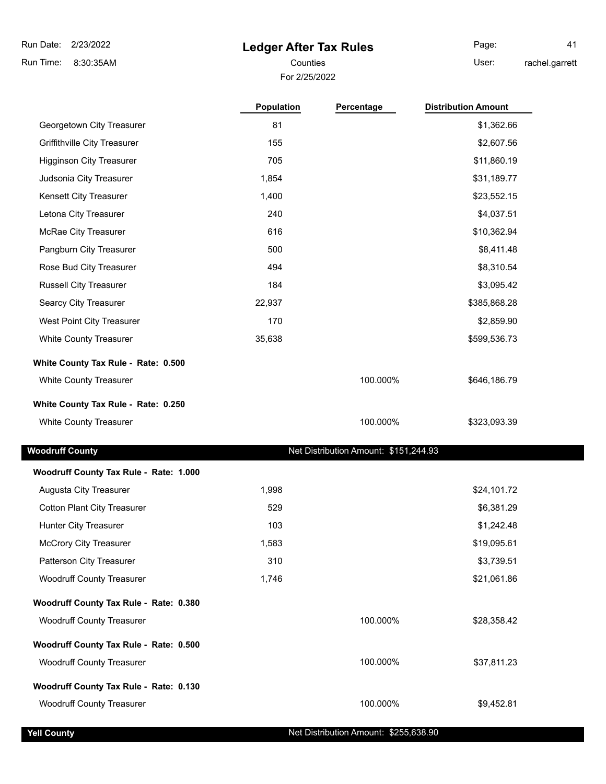### **Ledger After Tax Rules**

Page: 41 rachel.garrett

For 2/25/2022 Counties **User:** 

|                                        | <b>Population</b> | Percentage                            | <b>Distribution Amount</b> |
|----------------------------------------|-------------------|---------------------------------------|----------------------------|
| Georgetown City Treasurer              | 81                |                                       | \$1,362.66                 |
| <b>Griffithville City Treasurer</b>    | 155               |                                       | \$2,607.56                 |
| <b>Higginson City Treasurer</b>        | 705               |                                       | \$11,860.19                |
| Judsonia City Treasurer                | 1,854             |                                       | \$31,189.77                |
| Kensett City Treasurer                 | 1,400             |                                       | \$23,552.15                |
| Letona City Treasurer                  | 240               |                                       | \$4,037.51                 |
| McRae City Treasurer                   | 616               |                                       | \$10,362.94                |
| Pangburn City Treasurer                | 500               |                                       | \$8,411.48                 |
| Rose Bud City Treasurer                | 494               |                                       | \$8,310.54                 |
| <b>Russell City Treasurer</b>          | 184               |                                       | \$3,095.42                 |
| Searcy City Treasurer                  | 22,937            |                                       | \$385,868.28               |
| West Point City Treasurer              | 170               |                                       | \$2,859.90                 |
| White County Treasurer                 | 35,638            |                                       | \$599,536.73               |
| White County Tax Rule - Rate: 0.500    |                   |                                       |                            |
| <b>White County Treasurer</b>          |                   | 100.000%                              | \$646,186.79               |
| White County Tax Rule - Rate: 0.250    |                   |                                       |                            |
| White County Treasurer                 |                   | 100.000%                              | \$323,093.39               |
| <b>Woodruff County</b>                 |                   | Net Distribution Amount: \$151,244.93 |                            |
| Woodruff County Tax Rule - Rate: 1.000 |                   |                                       |                            |
| Augusta City Treasurer                 | 1,998             |                                       | \$24,101.72                |
| <b>Cotton Plant City Treasurer</b>     | 529               |                                       | \$6,381.29                 |
| <b>Hunter City Treasurer</b>           | 103               |                                       | \$1,242.48                 |
| <b>McCrory City Treasurer</b>          | 1,583             |                                       | \$19,095.61                |
| Patterson City Treasurer               | 310               |                                       | \$3,739.51                 |
| <b>Woodruff County Treasurer</b>       | 1,746             |                                       | \$21,061.86                |
| Woodruff County Tax Rule - Rate: 0.380 |                   |                                       |                            |
| <b>Woodruff County Treasurer</b>       |                   | 100.000%                              | \$28,358.42                |
| Woodruff County Tax Rule - Rate: 0.500 |                   |                                       |                            |
| <b>Woodruff County Treasurer</b>       |                   | 100.000%                              | \$37,811.23                |
| Woodruff County Tax Rule - Rate: 0.130 |                   |                                       |                            |
| <b>Woodruff County Treasurer</b>       |                   | 100.000%                              | \$9,452.81                 |
| <b>Yell County</b>                     |                   | Net Distribution Amount: \$255,638.90 |                            |